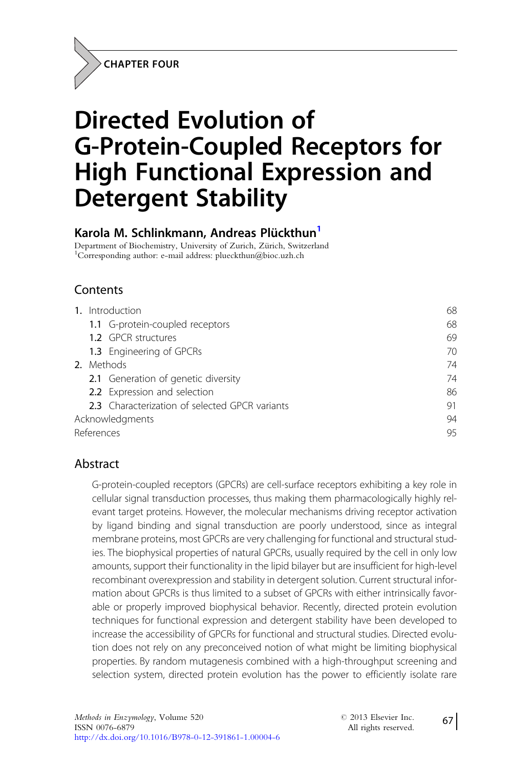CHAPTER FOUR

# Directed Evolution of G-Protein-Coupled Receptors for High Functional Expression and Detergent Stability

# Karola M. Schlinkmann, Andreas Plückthun<sup>1</sup>

Department of Biochemistry, University of Zurich, Zürich, Switzerland  ${}^{1}$ Corresponding author: e-mail address: plueckthun@bioc.uzh.ch

# **Contents**

|                 | 1. Introduction                                | 68 |
|-----------------|------------------------------------------------|----|
|                 | 1.1 G-protein-coupled receptors                | 68 |
|                 | 1.2 GPCR structures                            | 69 |
|                 | 1.3 Engineering of GPCRs                       | 70 |
|                 | 2. Methods                                     | 74 |
|                 | 2.1 Generation of genetic diversity            | 74 |
|                 | 2.2 Expression and selection                   | 86 |
|                 | 2.3 Characterization of selected GPCR variants | 91 |
| Acknowledgments |                                                | 94 |
| References      |                                                | 95 |

# Abstract

G-protein-coupled receptors (GPCRs) are cell-surface receptors exhibiting a key role in cellular signal transduction processes, thus making them pharmacologically highly relevant target proteins. However, the molecular mechanisms driving receptor activation by ligand binding and signal transduction are poorly understood, since as integral membrane proteins, most GPCRs are very challenging for functional and structural studies. The biophysical properties of natural GPCRs, usually required by the cell in only low amounts, support their functionality in the lipid bilayer but are insufficient for high-level recombinant overexpression and stability in detergent solution. Current structural information about GPCRs is thus limited to a subset of GPCRs with either intrinsically favorable or properly improved biophysical behavior. Recently, directed protein evolution techniques for functional expression and detergent stability have been developed to increase the accessibility of GPCRs for functional and structural studies. Directed evolution does not rely on any preconceived notion of what might be limiting biophysical properties. By random mutagenesis combined with a high-throughput screening and selection system, directed protein evolution has the power to efficiently isolate rare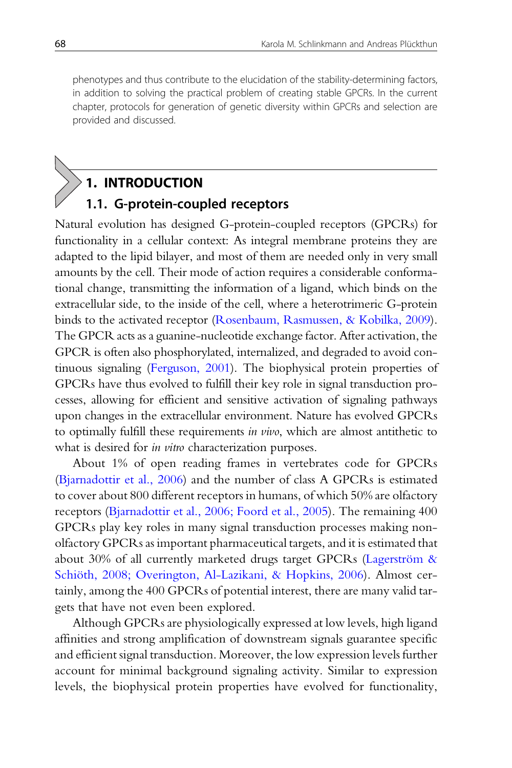phenotypes and thus contribute to the elucidation of the stability-determining factors, in addition to solving the practical problem of creating stable GPCRs. In the current chapter, protocols for generation of genetic diversity within GPCRs and selection are provided and discussed.

# 1. INTRODUCTION

# 1.1. G-protein-coupled receptors

Natural evolution has designed G-protein-coupled receptors (GPCRs) for functionality in a cellular context: As integral membrane proteins they are adapted to the lipid bilayer, and most of them are needed only in very small amounts by the cell. Their mode of action requires a considerable conformational change, transmitting the information of a ligand, which binds on the extracellular side, to the inside of the cell, where a heterotrimeric G-protein binds to the activated receptor ([Rosenbaum, Rasmussen, & Kobilka, 2009](#page-29-0)). The GPCR acts as a guanine-nucleotide exchange factor. After activation, the GPCR is often also phosphorylated, internalized, and degraded to avoid continuous signaling [\(Ferguson, 2001](#page-28-0)). The biophysical protein properties of GPCRs have thus evolved to fulfill their key role in signal transduction processes, allowing for efficient and sensitive activation of signaling pathways upon changes in the extracellular environment. Nature has evolved GPCRs to optimally fulfill these requirements in vivo, which are almost antithetic to what is desired for *in vitro* characterization purposes.

About 1% of open reading frames in vertebrates code for GPCRs ([Bjarnadottir et al., 2006](#page-28-0)) and the number of class A GPCRs is estimated to cover about 800 different receptors in humans, of which 50% are olfactory receptors ([Bjarnadottir et al., 2006; Foord et al., 2005\)](#page-28-0). The remaining 400 GPCRs play key roles in many signal transduction processes making nonolfactory GPCRs as important pharmaceutical targets, and it is estimated that about 30% of all currently marketed drugs target GPCRs (Lagerström  $\&$ Schiöth, [2008; Overington, Al-Lazikani, & Hopkins, 2006\)](#page-28-0). Almost certainly, among the 400 GPCRs of potential interest, there are many valid targets that have not even been explored.

Although GPCRs are physiologically expressed at low levels, high ligand affinities and strong amplification of downstream signals guarantee specific and efficient signal transduction. Moreover, the low expression levels further account for minimal background signaling activity. Similar to expression levels, the biophysical protein properties have evolved for functionality,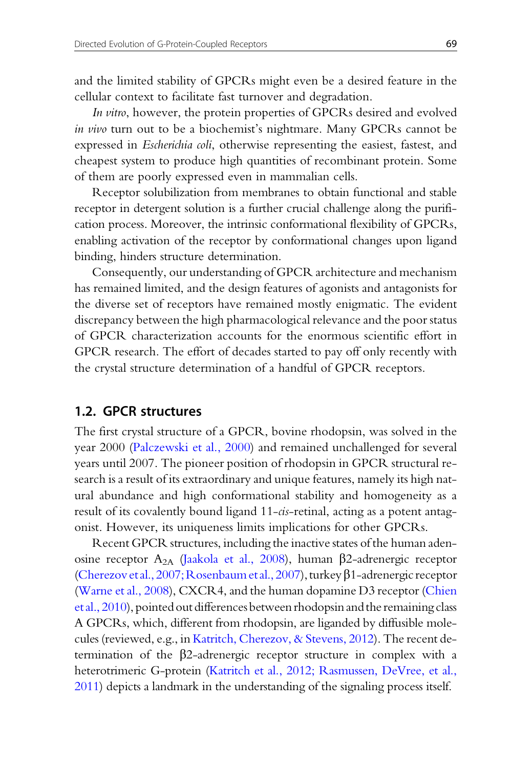and the limited stability of GPCRs might even be a desired feature in the cellular context to facilitate fast turnover and degradation.

In vitro, however, the protein properties of GPCRs desired and evolved in vivo turn out to be a biochemist's nightmare. Many GPCRs cannot be expressed in *Escherichia coli*, otherwise representing the easiest, fastest, and cheapest system to produce high quantities of recombinant protein. Some of them are poorly expressed even in mammalian cells.

Receptor solubilization from membranes to obtain functional and stable receptor in detergent solution is a further crucial challenge along the purification process. Moreover, the intrinsic conformational flexibility of GPCRs, enabling activation of the receptor by conformational changes upon ligand binding, hinders structure determination.

Consequently, our understanding of GPCR architecture and mechanism has remained limited, and the design features of agonists and antagonists for the diverse set of receptors have remained mostly enigmatic. The evident discrepancy between the high pharmacological relevance and the poor status of GPCR characterization accounts for the enormous scientific effort in GPCR research. The effort of decades started to pay off only recently with the crystal structure determination of a handful of GPCR receptors.

#### 1.2. GPCR structures

The first crystal structure of a GPCR, bovine rhodopsin, was solved in the year 2000 [\(Palczewski et al., 2000](#page-29-0)) and remained unchallenged for several years until 2007. The pioneer position of rhodopsin in GPCR structural research is a result of its extraordinary and unique features, namely its high natural abundance and high conformational stability and homogeneity as a result of its covalently bound ligand 11-*cis*-retinal, acting as a potent antagonist. However, its uniqueness limits implications for other GPCRs.

Recent GPCR structures, including the inactive states of the human adenosine receptor  $A_{2A}$  ([Jaakola et al., 2008](#page-28-0)), human  $\beta$ 2-adrenergic receptor (Cherezov et al., 2007; Rosenbaum et al., 2007), turkey  $\beta$ 1-adrenergic receptor [\(Warne et al., 2008\)](#page-30-0), CXCR4, and the human dopamine D3 receptor [\(Chien](#page-28-0) [etal., 2010\)](#page-28-0), pointed out differences between rhodopsin andthe remaining class A GPCRs, which, different from rhodopsin, are liganded by diffusible mole-cules (reviewed, e.g., in [Katritch, Cherezov, & Stevens, 2012](#page-28-0)). The recent determination of the  $\beta$ 2-adrenergic receptor structure in complex with a heterotrimeric G-protein ([Katritch et al., 2012; Rasmussen, DeVree, et al.,](#page-28-0) [2011\)](#page-28-0) depicts a landmark in the understanding of the signaling process itself.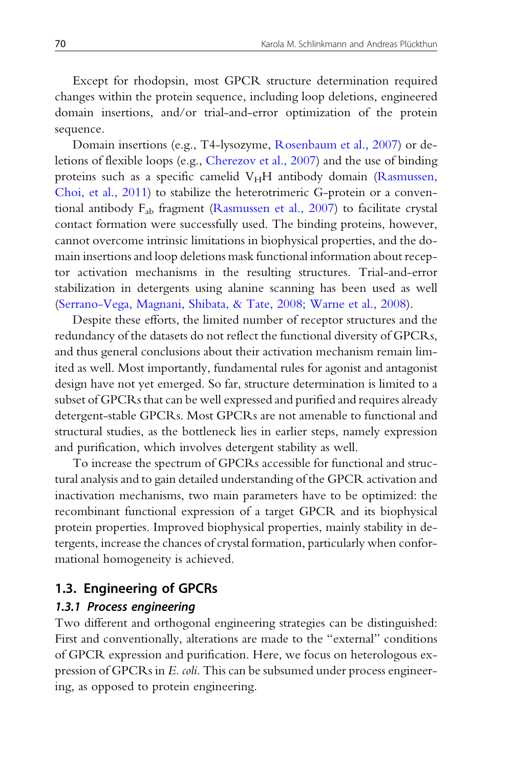Except for rhodopsin, most GPCR structure determination required changes within the protein sequence, including loop deletions, engineered domain insertions, and/or trial-and-error optimization of the protein sequence.

Domain insertions (e.g., T4-lysozyme, [Rosenbaum et al., 2007\)](#page-29-0) or deletions of flexible loops (e.g., [Cherezov et al., 2007\)](#page-28-0) and the use of binding proteins such as a specific camelid  $V<sub>H</sub>H$  antibody domain [\(Rasmussen,](#page-29-0) Choi, [et al., 2011](#page-29-0)) to stabilize the heterotrimeric G-protein or a conventional antibody  $F_{ab}$  fragment ([Rasmussen et al., 2007\)](#page-29-0) to facilitate crystal contact formation were successfully used. The binding proteins, however, cannot overcome intrinsic limitations in biophysical properties, and the domain insertions and loop deletions mask functional information about receptor activation mechanisms in the resulting structures. Trial-and-error stabilization in detergents using alanine scanning has been used as well ([Serrano-Vega, Magnani, Shibata, & Tate, 2008; Warne et al., 2008\)](#page-29-0).

Despite these efforts, the limited number of receptor structures and the redundancy of the datasets do not reflect the functional diversity of GPCRs, and thus general conclusions about their activation mechanism remain limited as well. Most importantly, fundamental rules for agonist and antagonist design have not yet emerged. So far, structure determination is limited to a subset of GPCRs that can be well expressed and purified and requires already detergent-stable GPCRs. Most GPCRs are not amenable to functional and structural studies, as the bottleneck lies in earlier steps, namely expression and purification, which involves detergent stability as well.

To increase the spectrum of GPCRs accessible for functional and structural analysis and to gain detailed understanding of the GPCR activation and inactivation mechanisms, two main parameters have to be optimized: the recombinant functional expression of a target GPCR and its biophysical protein properties. Improved biophysical properties, mainly stability in detergents, increase the chances of crystal formation, particularly when conformational homogeneity is achieved.

# 1.3. Engineering of GPCRs

## 1.3.1 Process engineering

Two different and orthogonal engineering strategies can be distinguished: First and conventionally, alterations are made to the "external" conditions of GPCR expression and purification. Here, we focus on heterologous expression of GPCRs in E. coli. This can be subsumed under process engineering, as opposed to protein engineering.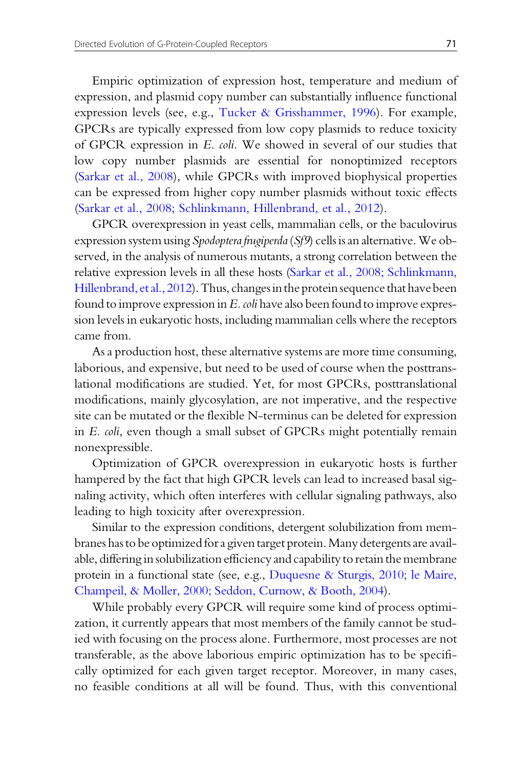Empiric optimization of expression host, temperature and medium of expression, and plasmid copy number can substantially influence functional expression levels (see, e.g., [Tucker & Grisshammer, 1996](#page-30-0)). For example, GPCRs are typically expressed from low copy plasmids to reduce toxicity of GPCR expression in E. coli. We showed in several of our studies that low copy number plasmids are essential for nonoptimized receptors [\(Sarkar et al., 2008](#page-29-0)), while GPCRs with improved biophysical properties can be expressed from higher copy number plasmids without toxic effects [\(Sarkar et al., 2008; Schlinkmann, Hillenbrand, et al., 2012](#page-29-0)).

GPCR overexpression in yeast cells, mammalian cells, or the baculovirus expression system using Spodoptera frugiperda (Sf9) cells is an alternative. We observed, in the analysis of numerous mutants, a strong correlation between the relative expression levels in all these hosts ([Sarkar et al., 2008; Schlinkmann,](#page-29-0) Hillenbrand, et al., 2012). Thus, changes in the protein sequence that have been found to improve expression in  $E$ .  $\omega h$  have also been found to improve expression levels in eukaryotic hosts, including mammalian cells where the receptors came from.

As a production host, these alternative systems are more time consuming, laborious, and expensive, but need to be used of course when the posttranslational modifications are studied. Yet, for most GPCRs, posttranslational modifications, mainly glycosylation, are not imperative, and the respective site can be mutated or the flexible N-terminus can be deleted for expression in E. coli, even though a small subset of GPCRs might potentially remain nonexpressible.

Optimization of GPCR overexpression in eukaryotic hosts is further hampered by the fact that high GPCR levels can lead to increased basal signaling activity, which often interferes with cellular signaling pathways, also leading to high toxicity after overexpression.

Similar to the expression conditions, detergent solubilization from membranes has to be optimized for a given target protein. Many detergents are available, differing in solubilization efficiency and capability to retain the membrane protein in a functional state (see, e.g., [Duquesne & Sturgis, 2010; le Maire,](#page-28-0) [Champeil, & Moller, 2000; Seddon, Curnow, & Booth, 2004\)](#page-28-0).

While probably every GPCR will require some kind of process optimization, it currently appears that most members of the family cannot be studied with focusing on the process alone. Furthermore, most processes are not transferable, as the above laborious empiric optimization has to be specifically optimized for each given target receptor. Moreover, in many cases, no feasible conditions at all will be found. Thus, with this conventional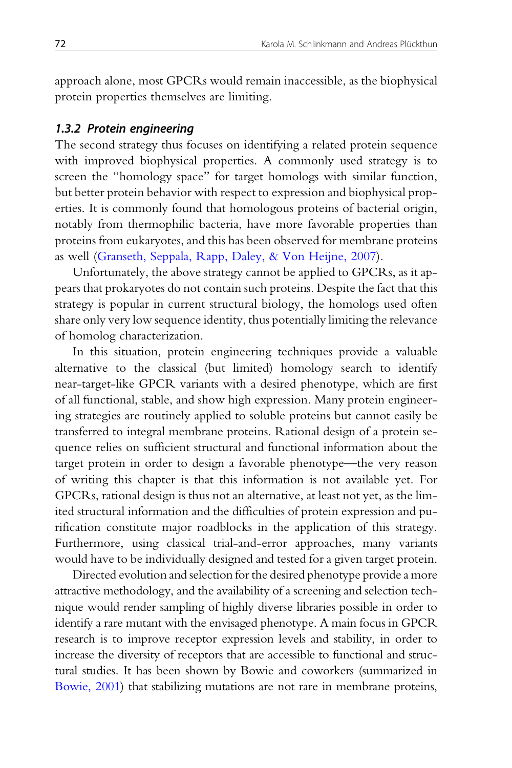approach alone, most GPCRs would remain inaccessible, as the biophysical protein properties themselves are limiting.

#### 1.3.2 Protein engineering

The second strategy thus focuses on identifying a related protein sequence with improved biophysical properties. A commonly used strategy is to screen the "homology space" for target homologs with similar function, but better protein behavior with respect to expression and biophysical properties. It is commonly found that homologous proteins of bacterial origin, notably from thermophilic bacteria, have more favorable properties than proteins from eukaryotes, and this has been observed for membrane proteins as well ([Granseth, Seppala, Rapp, Daley, & Von Heijne, 2007](#page-28-0)).

Unfortunately, the above strategy cannot be applied to GPCRs, as it appears that prokaryotes do not contain such proteins. Despite the fact that this strategy is popular in current structural biology, the homologs used often share only very low sequence identity, thus potentially limiting the relevance of homolog characterization.

In this situation, protein engineering techniques provide a valuable alternative to the classical (but limited) homology search to identify near-target-like GPCR variants with a desired phenotype, which are first of all functional, stable, and show high expression. Many protein engineering strategies are routinely applied to soluble proteins but cannot easily be transferred to integral membrane proteins. Rational design of a protein sequence relies on sufficient structural and functional information about the target protein in order to design a favorable phenotype—the very reason of writing this chapter is that this information is not available yet. For GPCRs, rational design is thus not an alternative, at least not yet, as the limited structural information and the difficulties of protein expression and purification constitute major roadblocks in the application of this strategy. Furthermore, using classical trial-and-error approaches, many variants would have to be individually designed and tested for a given target protein.

Directed evolution and selection for the desired phenotype provide a more attractive methodology, and the availability of a screening and selection technique would render sampling of highly diverse libraries possible in order to identify a rare mutant with the envisaged phenotype. A main focus in GPCR research is to improve receptor expression levels and stability, in order to increase the diversity of receptors that are accessible to functional and structural studies. It has been shown by Bowie and coworkers (summarized in [Bowie, 2001](#page-28-0)) that stabilizing mutations are not rare in membrane proteins,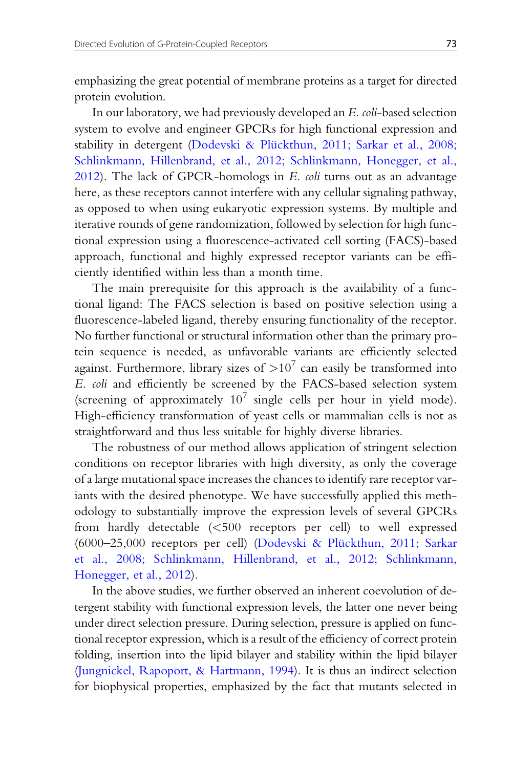emphasizing the great potential of membrane proteins as a target for directed protein evolution.

In our laboratory, we had previously developed an E. coli-based selection system to evolve and engineer GPCRs for high functional expression and stability in detergent (Dodevski & Plückthun, [2011; Sarkar et al., 2008;](#page-28-0) [Schlinkmann, Hillenbrand, et al., 2012; Schlinkmann, Honegger, et al.,](#page-28-0) [2012](#page-28-0)). The lack of GPCR-homologs in E. coli turns out as an advantage here, as these receptors cannot interfere with any cellular signaling pathway, as opposed to when using eukaryotic expression systems. By multiple and iterative rounds of gene randomization, followed by selection for high functional expression using a fluorescence-activated cell sorting (FACS)-based approach, functional and highly expressed receptor variants can be efficiently identified within less than a month time.

The main prerequisite for this approach is the availability of a functional ligand: The FACS selection is based on positive selection using a fluorescence-labeled ligand, thereby ensuring functionality of the receptor. No further functional or structural information other than the primary protein sequence is needed, as unfavorable variants are efficiently selected against. Furthermore, library sizes of  $>10^7$  can easily be transformed into E. coli and efficiently be screened by the FACS-based selection system (screening of approximately  $10^7$  single cells per hour in yield mode). High-efficiency transformation of yeast cells or mammalian cells is not as straightforward and thus less suitable for highly diverse libraries.

The robustness of our method allows application of stringent selection conditions on receptor libraries with high diversity, as only the coverage of a large mutational space increases the chances to identify rare receptor variants with the desired phenotype. We have successfully applied this methodology to substantially improve the expression levels of several GPCRs from hardly detectable (<500 receptors per cell) to well expressed (6000–25,000 receptors per cell) (Dodevski & Plückthun, 2011; Sarkar [et al., 2008; Schlinkmann, Hillenbrand, et al., 2012; Schlinkmann,](#page-28-0) [Honegger, et al., 2012](#page-28-0)).

In the above studies, we further observed an inherent coevolution of detergent stability with functional expression levels, the latter one never being under direct selection pressure. During selection, pressure is applied on functional receptor expression, which is a result of the efficiency of correct protein folding, insertion into the lipid bilayer and stability within the lipid bilayer [\(Jungnickel, Rapoport, & Hartmann, 1994\)](#page-28-0). It is thus an indirect selection for biophysical properties, emphasized by the fact that mutants selected in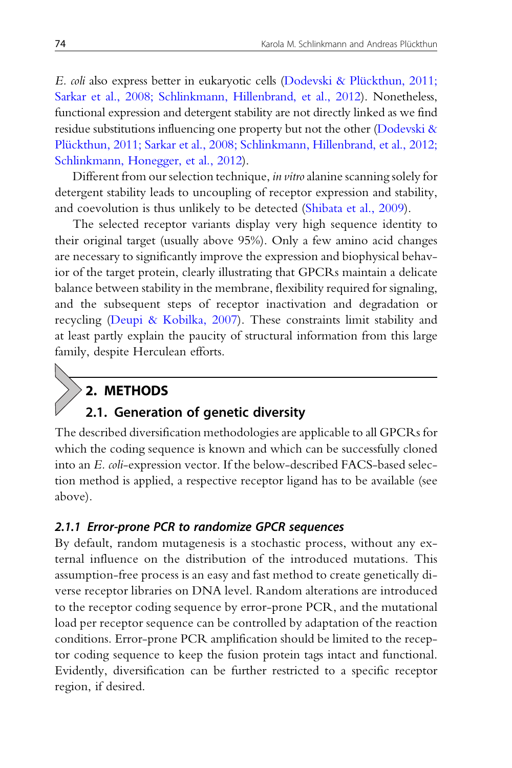E. coli also express better in eukaryotic cells (Dodevski & Plückthun, 2011; [Sarkar et al., 2008; Schlinkmann, Hillenbrand, et al., 2012](#page-28-0)). Nonetheless, functional expression and detergent stability are not directly linked as we find residue substitutions influencing one property but not the other [\(Dodevski &](#page-28-0) Plückthun, 2011; Sarkar et al., 2008; Schlinkmann, Hillenbrand, et al., 2012; [Schlinkmann, Honegger, et al., 2012](#page-28-0)).

Different from our selection technique, in vitro alanine scanning solely for detergent stability leads to uncoupling of receptor expression and stability, and coevolution is thus unlikely to be detected ([Shibata et al., 2009\)](#page-29-0).

The selected receptor variants display very high sequence identity to their original target (usually above 95%). Only a few amino acid changes are necessary to significantly improve the expression and biophysical behavior of the target protein, clearly illustrating that GPCRs maintain a delicate balance between stability in the membrane, flexibility required for signaling, and the subsequent steps of receptor inactivation and degradation or recycling [\(Deupi & Kobilka, 2007](#page-28-0)). These constraints limit stability and at least partly explain the paucity of structural information from this large family, despite Herculean efforts.

# 2. METHODS

# 2.1. Generation of genetic diversity

The described diversification methodologies are applicable to all GPCRs for which the coding sequence is known and which can be successfully cloned into an E. coli-expression vector. If the below-described FACS-based selection method is applied, a respective receptor ligand has to be available (see above).

# 2.1.1 Error-prone PCR to randomize GPCR sequences

By default, random mutagenesis is a stochastic process, without any external influence on the distribution of the introduced mutations. This assumption-free process is an easy and fast method to create genetically diverse receptor libraries on DNA level. Random alterations are introduced to the receptor coding sequence by error-prone PCR, and the mutational load per receptor sequence can be controlled by adaptation of the reaction conditions. Error-prone PCR amplification should be limited to the receptor coding sequence to keep the fusion protein tags intact and functional. Evidently, diversification can be further restricted to a specific receptor region, if desired.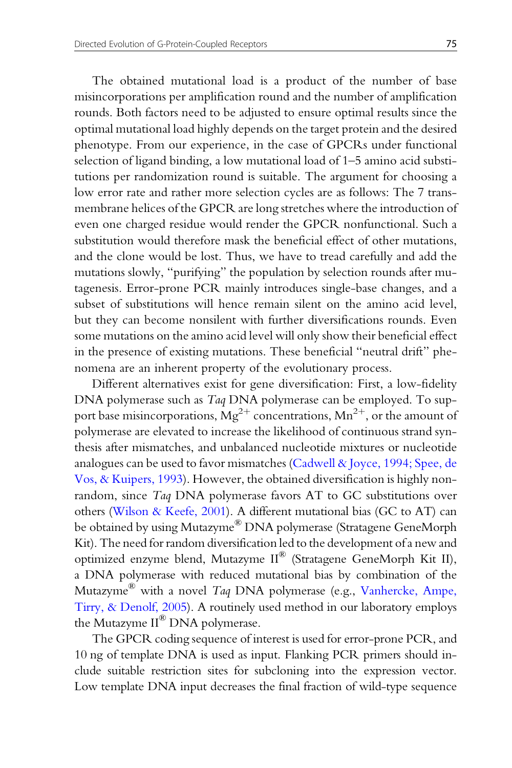The obtained mutational load is a product of the number of base misincorporations per amplification round and the number of amplification rounds. Both factors need to be adjusted to ensure optimal results since the optimal mutational load highly depends on the target protein and the desired phenotype. From our experience, in the case of GPCRs under functional selection of ligand binding, a low mutational load of 1–5 amino acid substitutions per randomization round is suitable. The argument for choosing a low error rate and rather more selection cycles are as follows: The 7 transmembrane helices of the GPCR are long stretches where the introduction of even one charged residue would render the GPCR nonfunctional. Such a substitution would therefore mask the beneficial effect of other mutations, and the clone would be lost. Thus, we have to tread carefully and add the mutations slowly, "purifying" the population by selection rounds after mutagenesis. Error-prone PCR mainly introduces single-base changes, and a subset of substitutions will hence remain silent on the amino acid level, but they can become nonsilent with further diversifications rounds. Even some mutations on the amino acid level will only show their beneficial effect in the presence of existing mutations. These beneficial "neutral drift" phenomena are an inherent property of the evolutionary process.

Different alternatives exist for gene diversification: First, a low-fidelity DNA polymerase such as Taq DNA polymerase can be employed. To support base misincorporations,  $Mg^{2+}$  concentrations,  $Mn^{2+}$ , or the amount of polymerase are elevated to increase the likelihood of continuous strand synthesis after mismatches, and unbalanced nucleotide mixtures or nucleotide analogues can be used to favor mismatches ([Cadwell & Joyce, 1994; Spee, de](#page-28-0) Vos, [& Kuipers, 1993](#page-28-0)). However, the obtained diversification is highly nonrandom, since Taq DNA polymerase favors AT to GC substitutions over others ([Wilson & Keefe, 2001\)](#page-30-0). A different mutational bias (GC to AT) can be obtained by using Mutazyme® DNA polymerase (Stratagene GeneMorph Kit). The need for random diversification led to the development of a new and optimized enzyme blend, Mutazyme II® (Stratagene GeneMorph Kit II), a DNA polymerase with reduced mutational bias by combination of the Mutazyme® with a novel *Taq* DNA polymerase (e.g., [Vanhercke, Ampe,](#page-30-0) [Tirry, & Denolf, 2005\)](#page-30-0). A routinely used method in our laboratory employs the Mutazyme II<sup>®</sup> DNA polymerase.

The GPCR coding sequence of interest is used for error-prone PCR, and 10 ng of template DNA is used as input. Flanking PCR primers should include suitable restriction sites for subcloning into the expression vector. Low template DNA input decreases the final fraction of wild-type sequence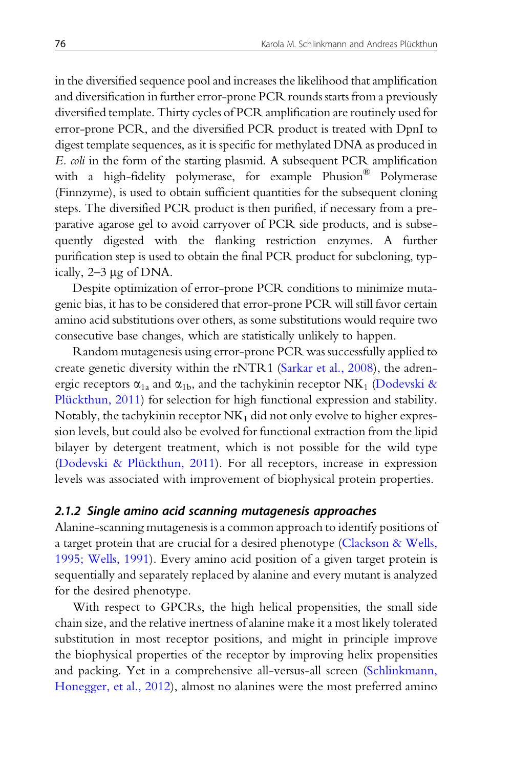in the diversified sequence pool and increases the likelihood that amplification and diversification in further error-prone PCR rounds starts from a previously diversified template. Thirty cycles of PCR amplification are routinely used for error-prone PCR, and the diversified PCR product is treated with DpnI to digest template sequences, as it is specific for methylated DNA as produced in E. coli in the form of the starting plasmid. A subsequent PCR amplification with a high-fidelity polymerase, for example Phusion® Polymerase (Finnzyme), is used to obtain sufficient quantities for the subsequent cloning steps. The diversified PCR product is then purified, if necessary from a preparative agarose gel to avoid carryover of PCR side products, and is subsequently digested with the flanking restriction enzymes. A further purification step is used to obtain the final PCR product for subcloning, typically,  $2-3 \mu$ g of DNA.

Despite optimization of error-prone PCR conditions to minimize mutagenic bias, it has to be considered that error-prone PCR will still favor certain amino acid substitutions over others, as some substitutions would require two consecutive base changes, which are statistically unlikely to happen.

Random mutagenesis using error-prone PCR was successfully applied to create genetic diversity within the rNTR1 ([Sarkar et al., 2008\)](#page-29-0), the adrenergic receptors  $\alpha_{1a}$  and  $\alpha_{1b}$ , and the tachykinin receptor NK<sub>1</sub> ([Dodevski &](#page-28-0) Plückthun, 2011) for selection for high functional expression and stability. Notably, the tachykinin receptor  $NK<sub>1</sub>$  did not only evolve to higher expression levels, but could also be evolved for functional extraction from the lipid bilayer by detergent treatment, which is not possible for the wild type (Dodevski & Plückthun, 2011). For all receptors, increase in expression levels was associated with improvement of biophysical protein properties.

## 2.1.2 Single amino acid scanning mutagenesis approaches

Alanine-scanning mutagenesis is a common approach to identify positions of a target protein that are crucial for a desired phenotype ([Clackson & Wells,](#page-28-0) 1995; [Wells, 1991\)](#page-28-0). Every amino acid position of a given target protein is sequentially and separately replaced by alanine and every mutant is analyzed for the desired phenotype.

With respect to GPCRs, the high helical propensities, the small side chain size, and the relative inertness of alanine make it a most likely tolerated substitution in most receptor positions, and might in principle improve the biophysical properties of the receptor by improving helix propensities and packing. Yet in a comprehensive all-versus-all screen [\(Schlinkmann,](#page-29-0) Honegger, [et al., 2012\)](#page-29-0), almost no alanines were the most preferred amino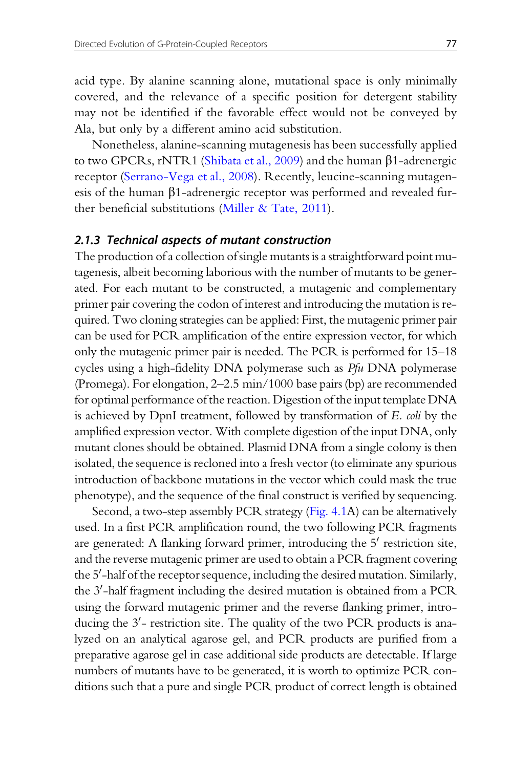acid type. By alanine scanning alone, mutational space is only minimally covered, and the relevance of a specific position for detergent stability may not be identified if the favorable effect would not be conveyed by Ala, but only by a different amino acid substitution.

Nonetheless, alanine-scanning mutagenesis has been successfully applied to two GPCRs, rNTR1 ([Shibata et al., 2009\)](#page-29-0) and the human  $\beta$ 1-adrenergic receptor ([Serrano-Vega et al., 2008](#page-29-0)). Recently, leucine-scanning mutagenesis of the human  $\beta$ 1-adrenergic receptor was performed and revealed further beneficial substitutions ([Miller & Tate, 2011](#page-29-0)).

#### 2.1.3 Technical aspects of mutant construction

The production of a collection of single mutants is a straightforward point mutagenesis, albeit becoming laborious with the number of mutants to be generated. For each mutant to be constructed, a mutagenic and complementary primer pair covering the codon of interest and introducing the mutation is required. Two cloning strategies can be applied: First, the mutagenic primer pair can be used for PCR amplification of the entire expression vector, for which only the mutagenic primer pair is needed. The PCR is performed for 15–18 cycles using a high-fidelity DNA polymerase such as Pfu DNA polymerase (Promega). For elongation, 2–2.5 min/1000 base pairs (bp) are recommended for optimal performance of the reaction. Digestion of the input template DNA is achieved by DpnI treatment, followed by transformation of E. coli by the amplified expression vector. With complete digestion of the input DNA, only mutant clones should be obtained. Plasmid DNA from a single colony is then isolated, the sequence is recloned into a fresh vector (to eliminate any spurious introduction of backbone mutations in the vector which could mask the true phenotype), and the sequence of the final construct is verified by sequencing.

Second, a two-step assembly PCR strategy [\(Fig. 4.1A](#page-11-0)) can be alternatively used. In a first PCR amplification round, the two following PCR fragments are generated: A flanking forward primer, introducing the  $5'$  restriction site, and the reverse mutagenic primer are used to obtain a PCR fragment covering the 5'-half of the receptor sequence, including the desired mutation. Similarly, the 3'-half fragment including the desired mutation is obtained from a PCR using the forward mutagenic primer and the reverse flanking primer, introducing the 3'- restriction site. The quality of the two PCR products is analyzed on an analytical agarose gel, and PCR products are purified from a preparative agarose gel in case additional side products are detectable. If large numbers of mutants have to be generated, it is worth to optimize PCR conditions such that a pure and single PCR product of correct length is obtained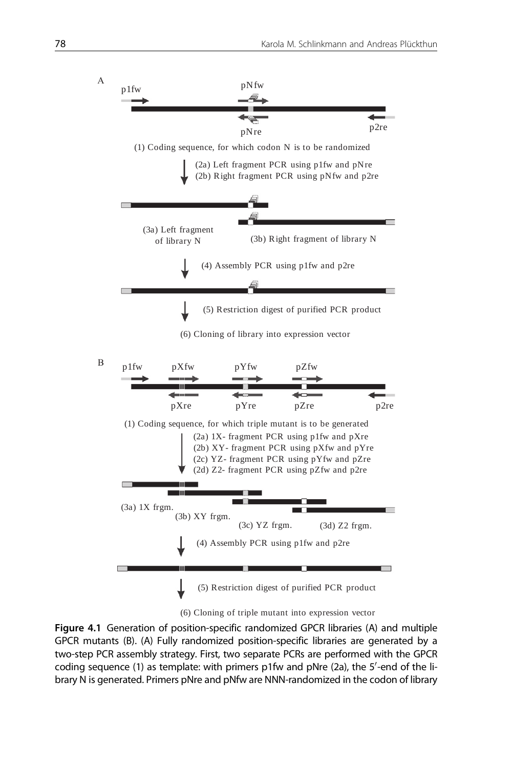<span id="page-11-0"></span>

(6) Cloning of triple mutant into expression vector

Figure 4.1 Generation of position-specific randomized GPCR libraries (A) and multiple GPCR mutants (B). (A) Fully randomized position-specific libraries are generated by a two-step PCR assembly strategy. First, two separate PCRs are performed with the GPCR coding sequence (1) as template: with primers p1fw and pNre (2a), the 5'-end of the library N is generated. Primers pNre and pNfw are NNN-randomized in the codon of library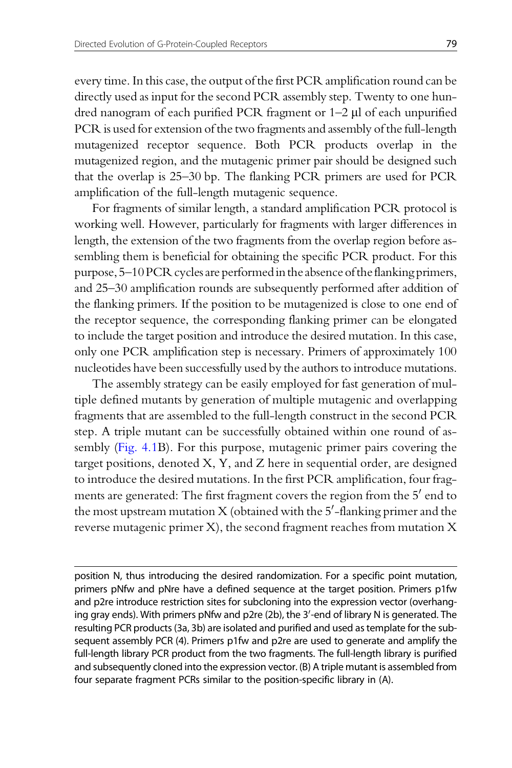every time. In this case, the output of the first PCR amplification round can be directly used as input for the second PCR assembly step. Twenty to one hundred nanogram of each purified PCR fragment or  $1-2 \mu$ l of each unpurified PCR is used for extension of the two fragments and assembly of the full-length mutagenized receptor sequence. Both PCR products overlap in the mutagenized region, and the mutagenic primer pair should be designed such that the overlap is 25–30 bp. The flanking PCR primers are used for PCR amplification of the full-length mutagenic sequence.

For fragments of similar length, a standard amplification PCR protocol is working well. However, particularly for fragments with larger differences in length, the extension of the two fragments from the overlap region before assembling them is beneficial for obtaining the specific PCR product. For this purpose, 5–10 PCR cycles are performed in the absence of the flanking primers, and 25–30 amplification rounds are subsequently performed after addition of the flanking primers. If the position to be mutagenized is close to one end of the receptor sequence, the corresponding flanking primer can be elongated to include the target position and introduce the desired mutation. In this case, only one PCR amplification step is necessary. Primers of approximately 100 nucleotides have been successfully used by the authors to introduce mutations.

The assembly strategy can be easily employed for fast generation of multiple defined mutants by generation of multiple mutagenic and overlapping fragments that are assembled to the full-length construct in the second PCR step. A triple mutant can be successfully obtained within one round of assembly [\(Fig. 4.1](#page-11-0)B). For this purpose, mutagenic primer pairs covering the target positions, denoted X, Y, and Z here in sequential order, are designed to introduce the desired mutations. In the first PCR amplification, four fragments are generated: The first fragment covers the region from the 5' end to the most upstream mutation X (obtained with the  $5^{\prime}$ -flanking primer and the reverse mutagenic primer X), the second fragment reaches from mutation X

position N, thus introducing the desired randomization. For a specific point mutation, primers pNfw and pNre have a defined sequence at the target position. Primers p1fw and p2re introduce restriction sites for subcloning into the expression vector (overhanging gray ends). With primers pNfw and p2re (2b), the 3'-end of library N is generated. The resulting PCR products (3a, 3b) are isolated and purified and used as template for the subsequent assembly PCR (4). Primers p1fw and p2re are used to generate and amplify the full-length library PCR product from the two fragments. The full-length library is purified and subsequently cloned into the expression vector. (B) A triple mutant is assembled from four separate fragment PCRs similar to the position-specific library in (A).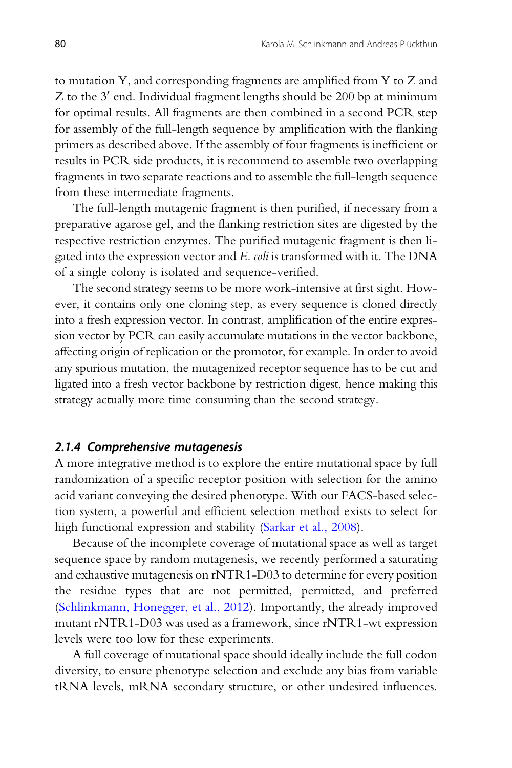to mutation Y, and corresponding fragments are amplified from Y to Z and Z to the  $3'$  end. Individual fragment lengths should be 200 bp at minimum for optimal results. All fragments are then combined in a second PCR step for assembly of the full-length sequence by amplification with the flanking primers as described above. If the assembly of four fragments is inefficient or results in PCR side products, it is recommend to assemble two overlapping fragments in two separate reactions and to assemble the full-length sequence from these intermediate fragments.

The full-length mutagenic fragment is then purified, if necessary from a preparative agarose gel, and the flanking restriction sites are digested by the respective restriction enzymes. The purified mutagenic fragment is then ligated into the expression vector and E. coli is transformed with it. The DNA of a single colony is isolated and sequence-verified.

The second strategy seems to be more work-intensive at first sight. However, it contains only one cloning step, as every sequence is cloned directly into a fresh expression vector. In contrast, amplification of the entire expression vector by PCR can easily accumulate mutations in the vector backbone, affecting origin of replication or the promotor, for example. In order to avoid any spurious mutation, the mutagenized receptor sequence has to be cut and ligated into a fresh vector backbone by restriction digest, hence making this strategy actually more time consuming than the second strategy.

#### 2.1.4 Comprehensive mutagenesis

A more integrative method is to explore the entire mutational space by full randomization of a specific receptor position with selection for the amino acid variant conveying the desired phenotype. With our FACS-based selection system, a powerful and efficient selection method exists to select for high functional expression and stability [\(Sarkar et al., 2008\)](#page-29-0).

Because of the incomplete coverage of mutational space as well as target sequence space by random mutagenesis, we recently performed a saturating and exhaustive mutagenesis on rNTR1-D03 to determine for every position the residue types that are not permitted, permitted, and preferred ([Schlinkmann, Honegger, et al., 2012](#page-29-0)). Importantly, the already improved mutant rNTR1-D03 was used as a framework, since rNTR1-wt expression levels were too low for these experiments.

A full coverage of mutational space should ideally include the full codon diversity, to ensure phenotype selection and exclude any bias from variable tRNA levels, mRNA secondary structure, or other undesired influences.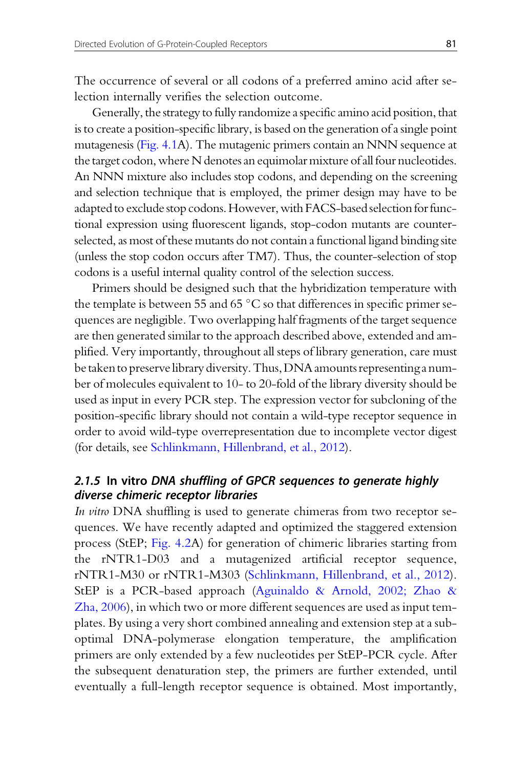The occurrence of several or all codons of a preferred amino acid after selection internally verifies the selection outcome.

Generally, the strategy to fully randomize a specific amino acid position, that is to create a position-specific library, is based on the generation of a single point mutagenesis [\(Fig. 4.1A](#page-11-0)). The mutagenic primers contain an NNN sequence at the target codon, where N denotes an equimolar mixture of all four nucleotides. An NNN mixture also includes stop codons, and depending on the screening and selection technique that is employed, the primer design may have to be adapted to exclude stop codons. However, with FACS-based selection for functional expression using fluorescent ligands, stop-codon mutants are counterselected, as most of these mutants do not contain a functional ligand binding site (unless the stop codon occurs after TM7). Thus, the counter-selection of stop codons is a useful internal quality control of the selection success.

Primers should be designed such that the hybridization temperature with the template is between 55 and 65  $^{\circ}\textrm{C}$  so that differences in specific primer sequences are negligible. Two overlapping half fragments of the target sequence are then generated similar to the approach described above, extended and amplified. Very importantly, throughout all steps of library generation, care must be taken to preserve library diversity. Thus, DNA amounts representing a number of molecules equivalent to 10- to 20-fold of the library diversity should be used as input in every PCR step. The expression vector for subcloning of the position-specific library should not contain a wild-type receptor sequence in order to avoid wild-type overrepresentation due to incomplete vector digest (for details, see [Schlinkmann, Hillenbrand, et al., 2012\)](#page-29-0).

## 2.1.5 In vitro DNA shuffling of GPCR sequences to generate highly diverse chimeric receptor libraries

In vitro DNA shuffling is used to generate chimeras from two receptor sequences. We have recently adapted and optimized the staggered extension process (StEP; [Fig. 4.2](#page-15-0)A) for generation of chimeric libraries starting from the rNTR1-D03 and a mutagenized artificial receptor sequence, rNTR1-M30 or rNTR1-M303 [\(Schlinkmann, Hillenbrand, et al., 2012](#page-29-0)). StEP is a PCR-based approach ([Aguinaldo & Arnold, 2002; Zhao &](#page-28-0) Zha, [2006\)](#page-28-0), in which two or more different sequences are used as input templates. By using a very short combined annealing and extension step at a suboptimal DNA-polymerase elongation temperature, the amplification primers are only extended by a few nucleotides per StEP-PCR cycle. After the subsequent denaturation step, the primers are further extended, until eventually a full-length receptor sequence is obtained. Most importantly,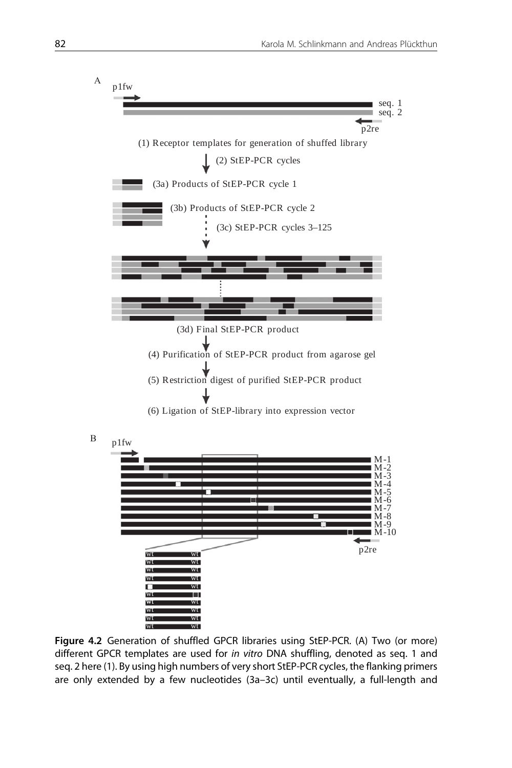<span id="page-15-0"></span>

Figure 4.2 Generation of shuffled GPCR libraries using StEP-PCR. (A) Two (or more) different GPCR templates are used for in vitro DNA shuffling, denoted as seq. 1 and seq. 2 here (1). By using high numbers of very short StEP-PCR cycles, the flanking primers are only extended by a few nucleotides (3a–3c) until eventually, a full-length and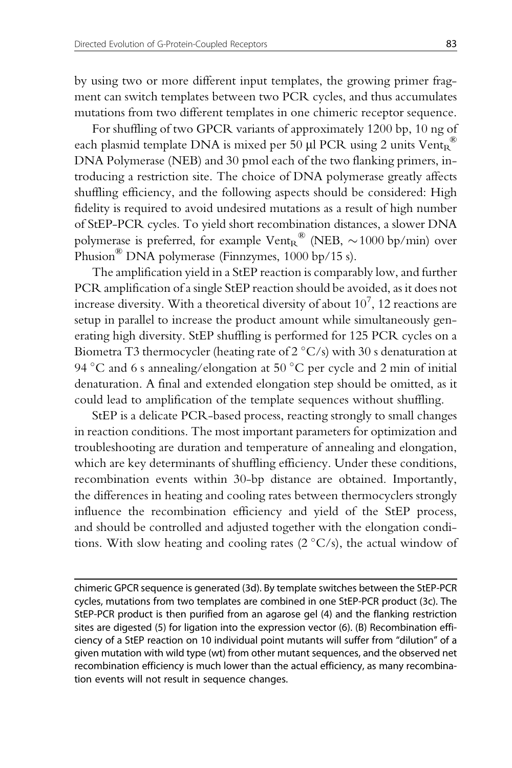by using two or more different input templates, the growing primer fragment can switch templates between two PCR cycles, and thus accumulates mutations from two different templates in one chimeric receptor sequence.

For shuffling of two GPCR variants of approximately 1200 bp, 10 ng of each plasmid template DNA is mixed per 50  $\mu$ l PCR using 2 units Vent $_{\rm R}^{\circledR}$ DNA Polymerase (NEB) and 30 pmol each of the two flanking primers, introducing a restriction site. The choice of DNA polymerase greatly affects shuffling efficiency, and the following aspects should be considered: High fidelity is required to avoid undesired mutations as a result of high number of StEP-PCR cycles. To yield short recombination distances, a slower DNA polymerase is preferred, for example  $Vent_R^{\circledR}$  (NEB,  $\sim$  1000 bp/min) over Phusion<sup>®</sup> DNA polymerase (Finnzymes, 1000 bp/15 s).

The amplification yield in a StEP reaction is comparably low, and further PCR amplification of a single StEP reaction should be avoided, as it does not increase diversity. With a theoretical diversity of about  $10^7$ , 12 reactions are setup in parallel to increase the product amount while simultaneously generating high diversity. StEP shuffling is performed for 125 PCR cycles on a Biometra T3 thermocycler (heating rate of 2  $^{\circ}$ C/s) with 30 s denaturation at 94 °C and 6 s annealing/elongation at 50 °C per cycle and 2 min of initial denaturation. A final and extended elongation step should be omitted, as it could lead to amplification of the template sequences without shuffling.

StEP is a delicate PCR-based process, reacting strongly to small changes in reaction conditions. The most important parameters for optimization and troubleshooting are duration and temperature of annealing and elongation, which are key determinants of shuffling efficiency. Under these conditions, recombination events within 30-bp distance are obtained. Importantly, the differences in heating and cooling rates between thermocyclers strongly influence the recombination efficiency and yield of the StEP process, and should be controlled and adjusted together with the elongation conditions. With slow heating and cooling rates (2  $\rm{°C/s}$ ), the actual window of

chimeric GPCR sequence is generated (3d). By template switches between the StEP-PCR cycles, mutations from two templates are combined in one StEP-PCR product (3c). The StEP-PCR product is then purified from an agarose gel (4) and the flanking restriction sites are digested (5) for ligation into the expression vector (6). (B) Recombination efficiency of a StEP reaction on 10 individual point mutants will suffer from "dilution" of a given mutation with wild type (wt) from other mutant sequences, and the observed net recombination efficiency is much lower than the actual efficiency, as many recombination events will not result in sequence changes.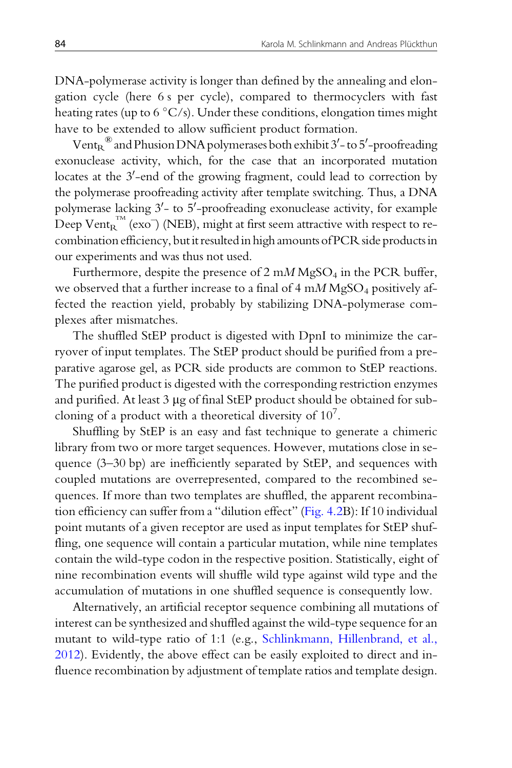DNA-polymerase activity is longer than defined by the annealing and elongation cycle (here 6 s per cycle), compared to thermocyclers with fast heating rates (up to 6  $\rm ^{\circ}C/s$ ). Under these conditions, elongation times might have to be extended to allow sufficient product formation.

Vent<sub>R</sub><sup>®</sup> and Phusion DNA polymerases both exhibit 3'-to 5'-proofreading exonuclease activity, which, for the case that an incorporated mutation locates at the 3'-end of the growing fragment, could lead to correction by the polymerase proofreading activity after template switching. Thus, a DNA polymerase lacking 3'- to 5'-proofreading exonuclease activity, for example Deep Vent $\overline{R}^m$  (exo $\overline{\phantom{a}}$ ) (NEB), might at first seem attractive with respect to recombination efficiency, but it resulted in high amounts of PCR side products in our experiments and was thus not used.

Furthermore, despite the presence of  $2 \text{ mM MgSO}_4$  in the PCR buffer, we observed that a further increase to a final of  $4 \text{ }\mathrm{mM\,MgSO}_{4}$  positively affected the reaction yield, probably by stabilizing DNA-polymerase complexes after mismatches.

The shuffled StEP product is digested with DpnI to minimize the carryover of input templates. The StEP product should be purified from a preparative agarose gel, as PCR side products are common to StEP reactions. The purified product is digested with the corresponding restriction enzymes and purified. At least  $3 \mu$ g of final StEP product should be obtained for subcloning of a product with a theoretical diversity of  $10^7$ .

Shuffling by StEP is an easy and fast technique to generate a chimeric library from two or more target sequences. However, mutations close in sequence (3–30 bp) are inefficiently separated by StEP, and sequences with coupled mutations are overrepresented, compared to the recombined sequences. If more than two templates are shuffled, the apparent recombination efficiency can suffer from a "dilution effect" ([Fig. 4.2](#page-15-0)B): If 10 individual point mutants of a given receptor are used as input templates for StEP shuffling, one sequence will contain a particular mutation, while nine templates contain the wild-type codon in the respective position. Statistically, eight of nine recombination events will shuffle wild type against wild type and the accumulation of mutations in one shuffled sequence is consequently low.

Alternatively, an artificial receptor sequence combining all mutations of interest can be synthesized and shuffled against the wild-type sequence for an mutant to wild-type ratio of 1:1 (e.g., [Schlinkmann, Hillenbrand, et al.,](#page-29-0) [2012\)](#page-29-0). Evidently, the above effect can be easily exploited to direct and influence recombination by adjustment of template ratios and template design.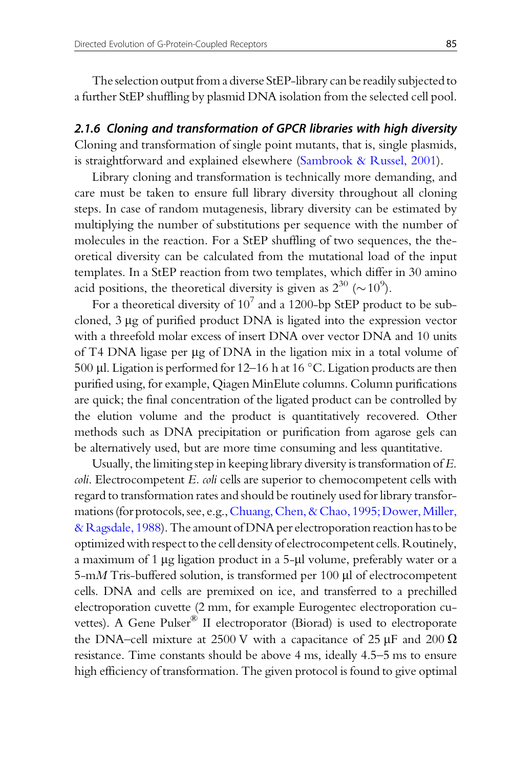The selection output from a diverse StEP-library can be readily subjected to a further StEP shuffling by plasmid DNA isolation from the selected cell pool.

2.1.6 Cloning and transformation of GPCR libraries with high diversity Cloning and transformation of single point mutants, that is, single plasmids, is straightforward and explained elsewhere [\(Sambrook & Russel, 2001](#page-29-0)).

Library cloning and transformation is technically more demanding, and care must be taken to ensure full library diversity throughout all cloning steps. In case of random mutagenesis, library diversity can be estimated by multiplying the number of substitutions per sequence with the number of molecules in the reaction. For a StEP shuffling of two sequences, the theoretical diversity can be calculated from the mutational load of the input templates. In a StEP reaction from two templates, which differ in 30 amino acid positions, the theoretical diversity is given as  $2^{30}$  ( $\sim$  10<sup>9</sup>).

For a theoretical diversity of  $10^7$  and a 1200-bp StEP product to be subcloned, 3 µg of purified product DNA is ligated into the expression vector with a threefold molar excess of insert DNA over vector DNA and 10 units of T4 DNA ligase per µg of DNA in the ligation mix in a total volume of 500  $\mu$ l. Ligation is performed for 12–16 h at 16 °C. Ligation products are then purified using, for example, Qiagen MinElute columns. Column purifications are quick; the final concentration of the ligated product can be controlled by the elution volume and the product is quantitatively recovered. Other methods such as DNA precipitation or purification from agarose gels can be alternatively used, but are more time consuming and less quantitative.

Usually, the limiting step in keeping library diversity is transformation of E. coli. Electrocompetent E. coli cells are superior to chemocompetent cells with regard to transformation rates and should be routinely used for library transformations (for protocols, see, e.g., Chuang, Chen, & Chao, 1995; Dower, Miller, & [Ragsdale, 1988\)](#page-28-0). The amount of DNA per electroporation reaction hasto be optimized with respect to the cell density of electrocompetent cells. Routinely, a maximum of 1  $\mu$ g ligation product in a 5- $\mu$ l volume, preferably water or a 5-mM Tris-buffered solution, is transformed per 100  $\mu$ l of electrocompetent cells. DNA and cells are premixed on ice, and transferred to a prechilled electroporation cuvette (2 mm, for example Eurogentec electroporation cuvettes). A Gene Pulser<sup>®</sup> II electroporator (Biorad) is used to electroporate the DNA–cell mixture at 2500 V with a capacitance of 25  $\mu$ F and 200  $\Omega$ resistance. Time constants should be above 4 ms, ideally 4.5–5 ms to ensure high efficiency of transformation. The given protocol is found to give optimal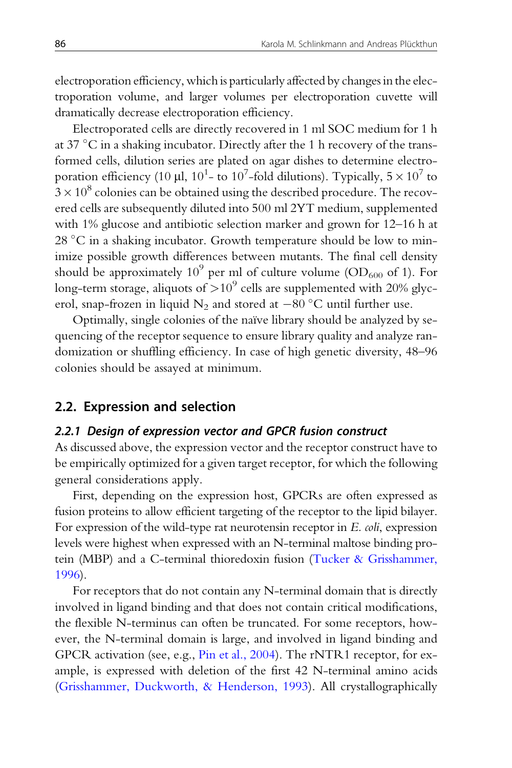electroporation efficiency, which is particularly affected by changes in the electroporation volume, and larger volumes per electroporation cuvette will dramatically decrease electroporation efficiency.

Electroporated cells are directly recovered in 1 ml SOC medium for 1 h at 37 °C in a shaking incubator. Directly after the 1 h recovery of the transformed cells, dilution series are plated on agar dishes to determine electroporation efficiency (10 µl, 10<sup>1</sup>- to 10<sup>7</sup>-fold dilutions). Typically,  $5 \times 10^7$  to  $3 \times 10^8$  colonies can be obtained using the described procedure. The recovered cells are subsequently diluted into 500 ml 2YT medium, supplemented with 1% glucose and antibiotic selection marker and grown for 12–16 h at 28 °C in a shaking incubator. Growth temperature should be low to minimize possible growth differences between mutants. The final cell density should be approximately 10<sup>9</sup> per ml of culture volume (OD<sub>600</sub> of 1). For long-term storage, aliquots of  $>10^9$  cells are supplemented with 20% glycerol, snap-frozen in liquid  $N_2$  and stored at  $-80\degree C$  until further use.

Optimally, single colonies of the naïve library should be analyzed by sequencing of the receptor sequence to ensure library quality and analyze randomization or shuffling efficiency. In case of high genetic diversity, 48–96 colonies should be assayed at minimum.

## 2.2. Expression and selection

#### 2.2.1 Design of expression vector and GPCR fusion construct

As discussed above, the expression vector and the receptor construct have to be empirically optimized for a given target receptor, for which the following general considerations apply.

First, depending on the expression host, GPCRs are often expressed as fusion proteins to allow efficient targeting of the receptor to the lipid bilayer. For expression of the wild-type rat neurotensin receptor in E. coli, expression levels were highest when expressed with an N-terminal maltose binding protein (MBP) and a C-terminal thioredoxin fusion ([Tucker & Grisshammer,](#page-30-0) [1996](#page-30-0)).

For receptors that do not contain any N-terminal domain that is directly involved in ligand binding and that does not contain critical modifications, the flexible N-terminus can often be truncated. For some receptors, however, the N-terminal domain is large, and involved in ligand binding and GPCR activation (see, e.g., [Pin et al., 2004](#page-29-0)). The rNTR1 receptor, for example, is expressed with deletion of the first 42 N-terminal amino acids ([Grisshammer, Duckworth, & Henderson, 1993\)](#page-28-0). All crystallographically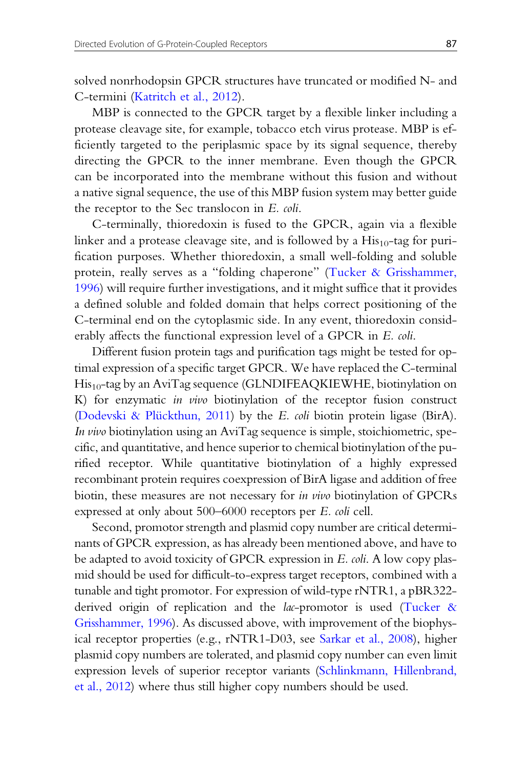solved nonrhodopsin GPCR structures have truncated or modified N- and C-termini [\(Katritch et al., 2012\)](#page-28-0).

MBP is connected to the GPCR target by a flexible linker including a protease cleavage site, for example, tobacco etch virus protease. MBP is efficiently targeted to the periplasmic space by its signal sequence, thereby directing the GPCR to the inner membrane. Even though the GPCR can be incorporated into the membrane without this fusion and without a native signal sequence, the use of this MBP fusion system may better guide the receptor to the Sec translocon in E. coli.

C-terminally, thioredoxin is fused to the GPCR, again via a flexible linker and a protease cleavage site, and is followed by a  $His_{10}$ -tag for purification purposes. Whether thioredoxin, a small well-folding and soluble protein, really serves as a "folding chaperone" [\(Tucker & Grisshammer,](#page-30-0) [1996](#page-30-0)) will require further investigations, and it might suffice that it provides a defined soluble and folded domain that helps correct positioning of the C-terminal end on the cytoplasmic side. In any event, thioredoxin considerably affects the functional expression level of a GPCR in E. coli.

Different fusion protein tags and purification tags might be tested for optimal expression of a specific target GPCR. We have replaced the C-terminal His<sub>10</sub>-tag by an AviTag sequence (GLNDIFEAQKIEWHE, biotinylation on K) for enzymatic in vivo biotinylation of the receptor fusion construct (Dodevski & Plückthun, 2011) by the  $E$ . coli biotin protein ligase (BirA). In vivo biotinylation using an AviTag sequence is simple, stoichiometric, specific, and quantitative, and hence superior to chemical biotinylation of the purified receptor. While quantitative biotinylation of a highly expressed recombinant protein requires coexpression of BirA ligase and addition of free biotin, these measures are not necessary for in vivo biotinylation of GPCRs expressed at only about 500–6000 receptors per E. coli cell.

Second, promotor strength and plasmid copy number are critical determinants of GPCR expression, as has already been mentioned above, and have to be adapted to avoid toxicity of GPCR expression in E. coli. A low copy plasmid should be used for difficult-to-express target receptors, combined with a tunable and tight promotor. For expression of wild-type rNTR1, a pBR322 derived origin of replication and the lac-promotor is used [\(Tucker &](#page-30-0) [Grisshammer, 1996](#page-30-0)). As discussed above, with improvement of the biophysical receptor properties (e.g., rNTR1-D03, see [Sarkar et al., 2008](#page-29-0)), higher plasmid copy numbers are tolerated, and plasmid copy number can even limit expression levels of superior receptor variants [\(Schlinkmann, Hillenbrand,](#page-29-0) et [al., 2012](#page-29-0)) where thus still higher copy numbers should be used.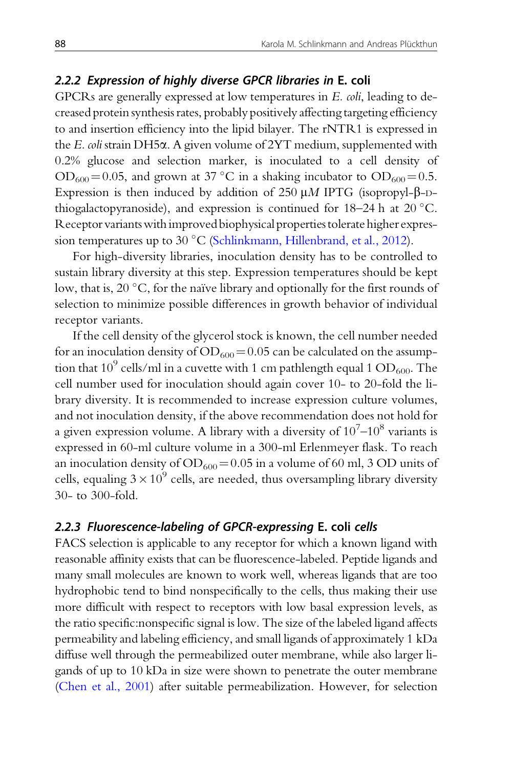# 2.2.2 Expression of highly diverse GPCR libraries in E. coli

GPCRs are generally expressed at low temperatures in E. coli, leading to decreased protein synthesis rates, probably positively affecting targeting efficiency to and insertion efficiency into the lipid bilayer. The rNTR1 is expressed in the *E. coli* strain DH5α. A given volume of 2YT medium, supplemented with 0.2% glucose and selection marker, is inoculated to a cell density of  $OD_{600} = 0.05$ , and grown at 37 °C in a shaking incubator to  $OD_{600} = 0.5$ . Expression is then induced by addition of 250  $\mu$ M IPTG (isopropyl- $\beta$ -Dthiogalactopyranoside), and expression is continued for 18–24 h at 20  $^{\circ}$ C. Receptor variants with improved biophysical properties tolerate higher expres-sion temperatures up to 30 °C ([Schlinkmann, Hillenbrand, et al., 2012](#page-29-0)).

For high-diversity libraries, inoculation density has to be controlled to sustain library diversity at this step. Expression temperatures should be kept low, that is, 20  $^{\circ}$ C, for the naı̈ve library and optionally for the first rounds of selection to minimize possible differences in growth behavior of individual receptor variants.

If the cell density of the glycerol stock is known, the cell number needed for an inoculation density of  $OD_{600} = 0.05$  can be calculated on the assumption that 10<sup>9</sup> cells/ml in a cuvette with 1 cm pathlength equal 1 OD<sub>600</sub>. The cell number used for inoculation should again cover 10- to 20-fold the library diversity. It is recommended to increase expression culture volumes, and not inoculation density, if the above recommendation does not hold for a given expression volume. A library with a diversity of  $10^7\!\!-\!\!10^8$  variants is expressed in 60-ml culture volume in a 300-ml Erlenmeyer flask. To reach an inoculation density of  $OD_{600} = 0.05$  in a volume of 60 ml, 3 OD units of cells, equaling  $3 \times 10^9$  cells, are needed, thus oversampling library diversity 30- to 300-fold.

## 2.2.3 Fluorescence-labeling of GPCR-expressing E. coli cells

FACS selection is applicable to any receptor for which a known ligand with reasonable affinity exists that can be fluorescence-labeled. Peptide ligands and many small molecules are known to work well, whereas ligands that are too hydrophobic tend to bind nonspecifically to the cells, thus making their use more difficult with respect to receptors with low basal expression levels, as the ratio specific:nonspecific signal is low. The size of the labeled ligand affects permeability and labeling efficiency, and small ligands of approximately 1 kDa diffuse well through the permeabilized outer membrane, while also larger ligands of up to 10 kDa in size were shown to penetrate the outer membrane ([Chen et al., 2001\)](#page-28-0) after suitable permeabilization. However, for selection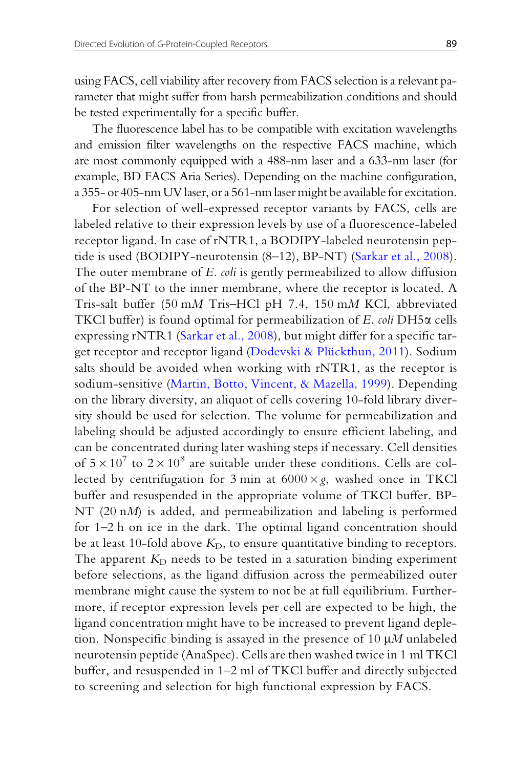using FACS, cell viability after recovery from FACS selection is a relevant parameter that might suffer from harsh permeabilization conditions and should be tested experimentally for a specific buffer.

The fluorescence label has to be compatible with excitation wavelengths and emission filter wavelengths on the respective FACS machine, which are most commonly equipped with a 488-nm laser and a 633-nm laser (for example, BD FACS Aria Series). Depending on the machine configuration, a 355- or 405-nm UV laser, or a 561-nm laser might be available for excitation.

For selection of well-expressed receptor variants by FACS, cells are labeled relative to their expression levels by use of a fluorescence-labeled receptor ligand. In case of rNTR1, a BODIPY-labeled neurotensin peptide is used (BODIPY-neurotensin (8–12), BP-NT) ([Sarkar et al., 2008](#page-29-0)). The outer membrane of E. coli is gently permeabilized to allow diffusion of the BP-NT to the inner membrane, where the receptor is located. A Tris-salt buffer (50 mM Tris–HCl pH 7.4, 150 mM KCl, abbreviated TKCl buffer) is found optimal for permeabilization of  $E$ . *coli* DH5 $\alpha$  cells expressing rNTR1 ([Sarkar et al., 2008\)](#page-29-0), but might differ for a specific target receptor and receptor ligand (Dodevski & Plückthun, 2011). Sodium salts should be avoided when working with rNTR1, as the receptor is sodium-sensitive ([Martin, Botto, Vincent, & Mazella, 1999\)](#page-29-0). Depending on the library diversity, an aliquot of cells covering 10-fold library diversity should be used for selection. The volume for permeabilization and labeling should be adjusted accordingly to ensure efficient labeling, and can be concentrated during later washing steps if necessary. Cell densities of  $5\times10^7$  to  $2\times10^8$  are suitable under these conditions. Cells are collected by centrifugation for 3 min at  $6000 \times g$ , washed once in TKCl buffer and resuspended in the appropriate volume of TKCl buffer. BP-NT (20 nM) is added, and permeabilization and labeling is performed for 1–2 h on ice in the dark. The optimal ligand concentration should be at least 10-fold above  $K<sub>D</sub>$ , to ensure quantitative binding to receptors. The apparent  $K_D$  needs to be tested in a saturation binding experiment before selections, as the ligand diffusion across the permeabilized outer membrane might cause the system to not be at full equilibrium. Furthermore, if receptor expression levels per cell are expected to be high, the ligand concentration might have to be increased to prevent ligand depletion. Nonspecific binding is assayed in the presence of 10  $\mu$ M unlabeled neurotensin peptide (AnaSpec). Cells are then washed twice in 1 ml TKCl buffer, and resuspended in 1–2 ml of TKCl buffer and directly subjected to screening and selection for high functional expression by FACS.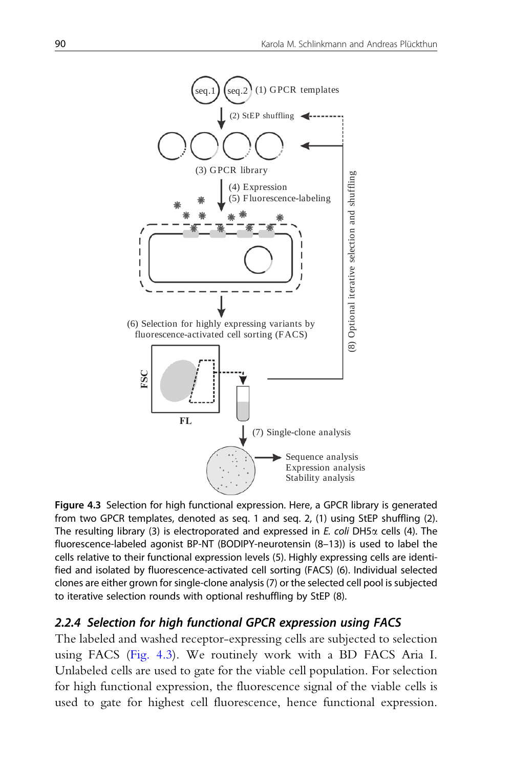

Figure 4.3 Selection for high functional expression. Here, a GPCR library is generated from two GPCR templates, denoted as seq. 1 and seq. 2, (1) using StEP shuffling (2). The resulting library (3) is electroporated and expressed in E. coli DH5 $\alpha$  cells (4). The fluorescence-labeled agonist BP-NT (BODIPY-neurotensin (8–13)) is used to label the cells relative to their functional expression levels (5). Highly expressing cells are identified and isolated by fluorescence-activated cell sorting (FACS) (6). Individual selected clones are either grown for single-clone analysis (7) or the selected cell pool is subjected to iterative selection rounds with optional reshuffling by StEP (8).

## 2.2.4 Selection for high functional GPCR expression using FACS

The labeled and washed receptor-expressing cells are subjected to selection using FACS (Fig. 4.3). We routinely work with a BD FACS Aria I. Unlabeled cells are used to gate for the viable cell population. For selection for high functional expression, the fluorescence signal of the viable cells is used to gate for highest cell fluorescence, hence functional expression.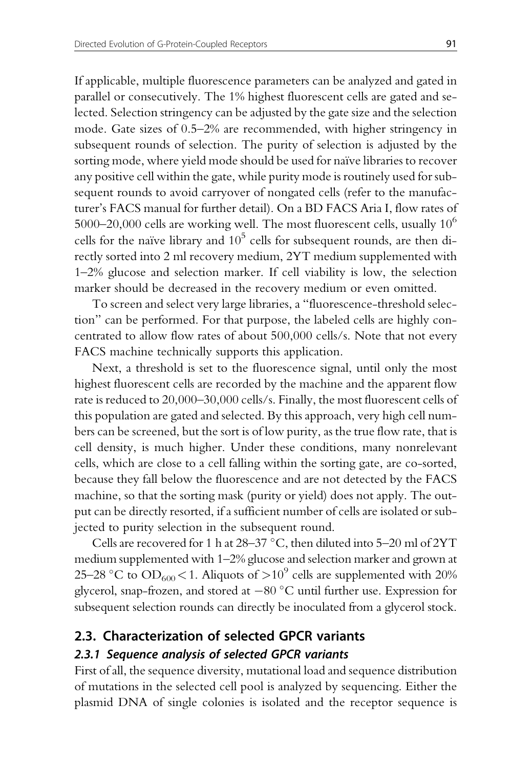If applicable, multiple fluorescence parameters can be analyzed and gated in parallel or consecutively. The 1% highest fluorescent cells are gated and selected. Selection stringency can be adjusted by the gate size and the selection mode. Gate sizes of 0.5–2% are recommended, with higher stringency in subsequent rounds of selection. The purity of selection is adjusted by the sorting mode, where yield mode should be used for naïve libraries to recover any positive cell within the gate, while purity mode is routinely used for subsequent rounds to avoid carryover of nongated cells (refer to the manufacturer's FACS manual for further detail). On a BD FACS Aria I, flow rates of 5000–20,000 cells are working well. The most fluorescent cells, usually  $10<sup>6</sup>$ cells for the naïve library and  $10^5$  cells for subsequent rounds, are then directly sorted into 2 ml recovery medium, 2YT medium supplemented with 1–2% glucose and selection marker. If cell viability is low, the selection marker should be decreased in the recovery medium or even omitted.

To screen and select very large libraries, a "fluorescence-threshold selection" can be performed. For that purpose, the labeled cells are highly concentrated to allow flow rates of about 500,000 cells/s. Note that not every FACS machine technically supports this application.

Next, a threshold is set to the fluorescence signal, until only the most highest fluorescent cells are recorded by the machine and the apparent flow rate is reduced to 20,000–30,000 cells/s. Finally, the most fluorescent cells of this population are gated and selected. By this approach, very high cell numbers can be screened, but the sort is of low purity, as the true flow rate, that is cell density, is much higher. Under these conditions, many nonrelevant cells, which are close to a cell falling within the sorting gate, are co-sorted, because they fall below the fluorescence and are not detected by the FACS machine, so that the sorting mask (purity or yield) does not apply. The output can be directly resorted, if a sufficient number of cells are isolated or subjected to purity selection in the subsequent round.

Cells are recovered for 1 h at 28–37  $\rm{^{\circ}C}$ , then diluted into 5–20 ml of 2YT medium supplemented with 1–2% glucose and selection marker and grown at 25–28 °C to OD<sub>600</sub> < 1. Aliquots of  $>10^9$  cells are supplemented with 20% glycerol, snap-frozen, and stored at  $-80\text{ °C}$  until further use. Expression for subsequent selection rounds can directly be inoculated from a glycerol stock.

# 2.3. Characterization of selected GPCR variants

#### 2.3.1 Sequence analysis of selected GPCR variants

First of all, the sequence diversity, mutational load and sequence distribution of mutations in the selected cell pool is analyzed by sequencing. Either the plasmid DNA of single colonies is isolated and the receptor sequence is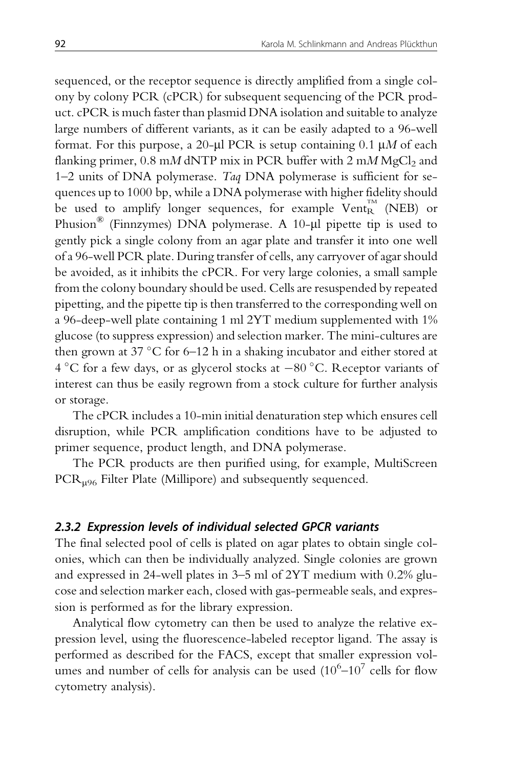sequenced, or the receptor sequence is directly amplified from a single colony by colony PCR (cPCR) for subsequent sequencing of the PCR product. cPCR is much faster than plasmid DNA isolation and suitable to analyze large numbers of different variants, as it can be easily adapted to a 96-well format. For this purpose, a 20-µl PCR is setup containing 0.1  $\mu$ M of each flanking primer,  $0.8 \text{ mM dNTP mix in PCR buffer with } 2 \text{ mM MgCl}_2$  and 1–2 units of DNA polymerase. Taq DNA polymerase is sufficient for sequences up to 1000 bp, while a DNA polymerase with higher fidelity should be used to amplify longer sequences, for example  $Vent_R^{\text{TM}}$  (NEB) or Phusion<sup>®</sup> (Finnzymes) DNA polymerase. A 10- $\mu$ l pipette tip is used to gently pick a single colony from an agar plate and transfer it into one well of a 96-well PCR plate. During transfer of cells, any carryover of agar should be avoided, as it inhibits the cPCR. For very large colonies, a small sample from the colony boundary should be used. Cells are resuspended by repeated pipetting, and the pipette tip is then transferred to the corresponding well on a 96-deep-well plate containing 1 ml 2YT medium supplemented with 1% glucose (to suppress expression) and selection marker. The mini-cultures are then grown at 37  $^{\circ} \mathrm{C}$  for 6–12 h in a shaking incubator and either stored at  $4 °C$  for a few days, or as glycerol stocks at  $-80 °C$ . Receptor variants of interest can thus be easily regrown from a stock culture for further analysis or storage.

The cPCR includes a 10-min initial denaturation step which ensures cell disruption, while PCR amplification conditions have to be adjusted to primer sequence, product length, and DNA polymerase.

The PCR products are then purified using, for example, MultiScreen  $PCR<sub>µ96</sub> Filter Plate (Millipore) and subsequently sequenced.$ 

#### 2.3.2 Expression levels of individual selected GPCR variants

The final selected pool of cells is plated on agar plates to obtain single colonies, which can then be individually analyzed. Single colonies are grown and expressed in 24-well plates in 3–5 ml of 2YT medium with 0.2% glucose and selection marker each, closed with gas-permeable seals, and expression is performed as for the library expression.

Analytical flow cytometry can then be used to analyze the relative expression level, using the fluorescence-labeled receptor ligand. The assay is performed as described for the FACS, except that smaller expression volumes and number of cells for analysis can be used  $(10^6 - 10^7$  cells for flow cytometry analysis).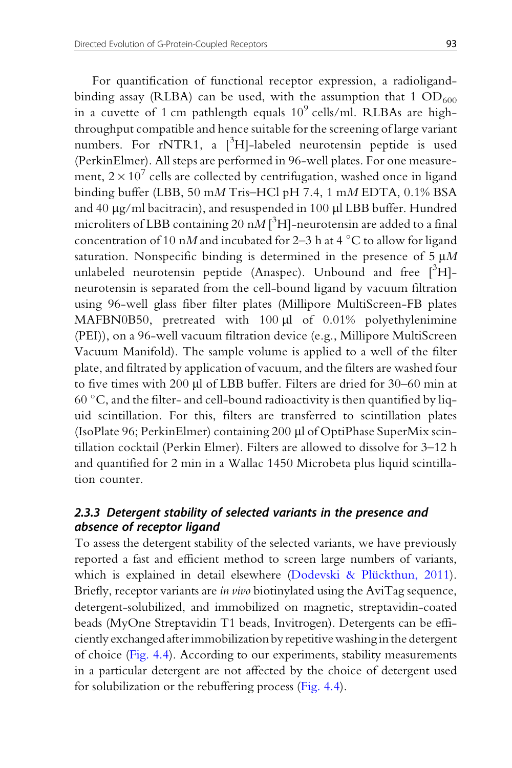For quantification of functional receptor expression, a radioligandbinding assay (RLBA) can be used, with the assumption that  $1 \text{ OD}_{600}$ in a cuvette of 1 cm pathlength equals  $10^9$  cells/ml. RLBAs are highthroughput compatible and hence suitable for the screening of large variant numbers. For rNTR1, a [<sup>3</sup>H]-labeled neurotensin peptide is used (PerkinElmer). All steps are performed in 96-well plates. For one measurement,  $2 \times 10^7$  cells are collected by centrifugation, washed once in ligand binding buffer (LBB, 50 mM Tris–HCl pH 7.4, 1 mM EDTA, 0.1% BSA and 40 µg/ml bacitracin), and resuspended in 100 µl LBB buffer. Hundred microliters of LBB containing 20 nM [ $^3\mathrm{H}$ ]-neurotensin are added to a final concentration of 10 nM and incubated for 2–3 h at 4  $^{\circ} \mathrm{C}$  to allow for ligand saturation. Nonspecific binding is determined in the presence of  $5 \mu M$ unlabeled neurotensin peptide (Anaspec). Unbound and free [3H]neurotensin is separated from the cell-bound ligand by vacuum filtration using 96-well glass fiber filter plates (Millipore MultiScreen-FB plates MAFBN0B50, pretreated with  $100 \mu l$  of 0.01% polyethylenimine (PEI)), on a 96-well vacuum filtration device (e.g., Millipore MultiScreen Vacuum Manifold). The sample volume is applied to a well of the filter plate, and filtrated by application of vacuum, and the filters are washed four to five times with 200 µl of LBB buffer. Filters are dried for 30–60 min at  $60°$ C, and the filter- and cell-bound radioactivity is then quantified by liquid scintillation. For this, filters are transferred to scintillation plates (IsoPlate 96; PerkinElmer) containing 200 ml of OptiPhase SuperMix scintillation cocktail (Perkin Elmer). Filters are allowed to dissolve for 3–12 h and quantified for 2 min in a Wallac 1450 Microbeta plus liquid scintillation counter.

# 2.3.3 Detergent stability of selected variants in the presence and absence of receptor ligand

To assess the detergent stability of the selected variants, we have previously reported a fast and efficient method to screen large numbers of variants, which is explained in detail elsewhere (Dodevski & Plückthun, 2011). Briefly, receptor variants are *in vivo* biotinylated using the AviTag sequence, detergent-solubilized, and immobilized on magnetic, streptavidin-coated beads (MyOne Streptavidin T1 beads, Invitrogen). Detergents can be efficiently exchanged after immobilization by repetitive washing inthe detergent of choice [\(Fig. 4.4\)](#page-27-0). According to our experiments, stability measurements in a particular detergent are not affected by the choice of detergent used for solubilization or the rebuffering process ([Fig. 4.4\)](#page-27-0).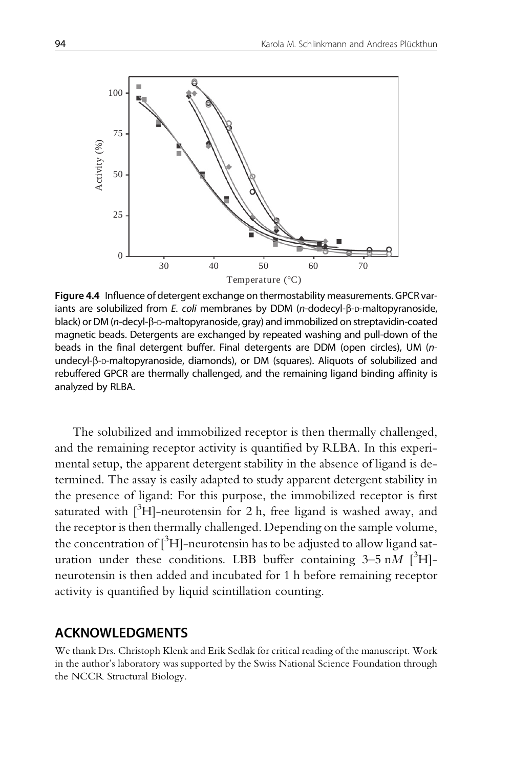<span id="page-27-0"></span>

Figure 4.4 Influence of detergent exchange on thermostability measurements. GPCR variants are solubilized from E. coli membranes by DDM ( $n$ -dodecyl- $\beta$ -p-maltopyranoside, black) or DM ( $n$ -decyl- $\beta$ - $D$ -maltopyranoside, gray) and immobilized on streptavidin-coated magnetic beads. Detergents are exchanged by repeated washing and pull-down of the beads in the final detergent buffer. Final detergents are DDM (open circles), UM (nundecyl- $\beta$ - $D$ -maltopyranoside, diamonds), or DM (squares). Aliquots of solubilized and rebuffered GPCR are thermally challenged, and the remaining ligand binding affinity is analyzed by RLBA.

The solubilized and immobilized receptor is then thermally challenged, and the remaining receptor activity is quantified by RLBA. In this experimental setup, the apparent detergent stability in the absence of ligand is determined. The assay is easily adapted to study apparent detergent stability in the presence of ligand: For this purpose, the immobilized receptor is first saturated with  $[{}^3H]$ -neurotensin for 2 h, free ligand is washed away, and the receptor is then thermally challenged. Depending on the sample volume, the concentration of  $[^3H]$ -neurotensin has to be adjusted to allow ligand saturation under these conditions. LBB buffer containing  $3-5$  nM  $[^{3}H]$ neurotensin is then added and incubated for 1 h before remaining receptor activity is quantified by liquid scintillation counting.

#### ACKNOWLEDGMENTS

We thank Drs. Christoph Klenk and Erik Sedlak for critical reading of the manuscript. Work in the author's laboratory was supported by the Swiss National Science Foundation through the NCCR Structural Biology.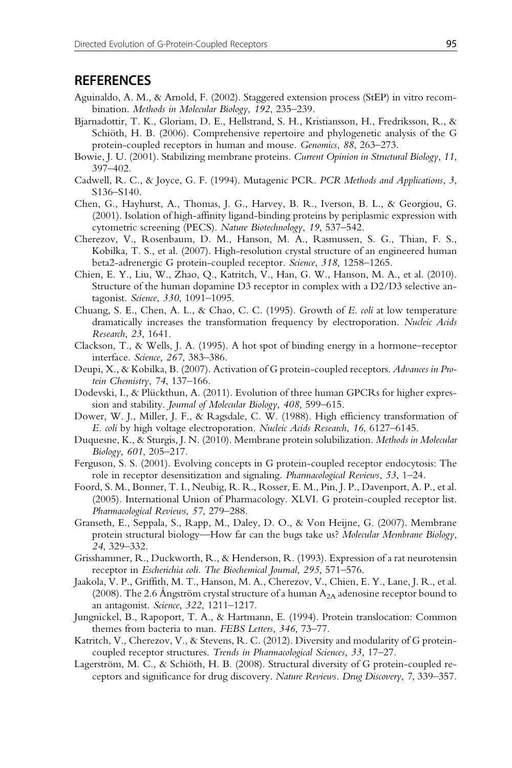## <span id="page-28-0"></span>**REFERENCES**

- Aguinaldo, A. M., & Arnold, F. (2002). Staggered extension process (StEP) in vitro recombination. Methods in Molecular Biology, 192, 235–239.
- Bjarnadottir, T. K., Gloriam, D. E., Hellstrand, S. H., Kristiansson, H., Fredriksson, R., & Schiöth, H. B. (2006). Comprehensive repertoire and phylogenetic analysis of the G protein-coupled receptors in human and mouse. Genomics, 88, 263–273.
- Bowie, J. U. (2001). Stabilizing membrane proteins. Current Opinion in Structural Biology, 11, 397–402.
- Cadwell, R. C., & Joyce, G. F. (1994). Mutagenic PCR. PCR Methods and Applications, 3, S136–S140.
- Chen, G., Hayhurst, A., Thomas, J. G., Harvey, B. R., Iverson, B. L., & Georgiou, G. (2001). Isolation of high-affinity ligand-binding proteins by periplasmic expression with cytometric screening (PECS). Nature Biotechnology, 19, 537–542.
- Cherezov, V., Rosenbaum, D. M., Hanson, M. A., Rasmussen, S. G., Thian, F. S., Kobilka, T. S., et al. (2007). High-resolution crystal structure of an engineered human beta2-adrenergic G protein-coupled receptor. Science, 318, 1258–1265.
- Chien, E. Y., Liu, W., Zhao, Q., Katritch, V., Han, G. W., Hanson, M. A., et al. (2010). Structure of the human dopamine D3 receptor in complex with a D2/D3 selective antagonist. Science, 330, 1091–1095.
- Chuang, S. E., Chen, A. L., & Chao, C. C. (1995). Growth of E. coli at low temperature dramatically increases the transformation frequency by electroporation. Nucleic Acids Research, 23, 1641.
- Clackson, T., & Wells, J. A. (1995). A hot spot of binding energy in a hormone–receptor interface. Science, 267, 383–386.
- Deupi, X., & Kobilka, B. (2007). Activation of G protein-coupled receptors. Advances in Protein Chemistry, 74, 137–166.
- Dodevski, I., & Plückthun, A. (2011). Evolution of three human GPCRs for higher expression and stability. Journal of Molecular Biology, 408, 599–615.
- Dower, W. J., Miller, J. F., & Ragsdale, C. W. (1988). High efficiency transformation of E. coli by high voltage electroporation. Nucleic Acids Research, 16, 6127–6145.
- Duquesne, K., & Sturgis, J. N. (2010). Membrane protein solubilization. Methods in Molecular Biology, 601, 205–217.
- Ferguson, S. S. (2001). Evolving concepts in G protein-coupled receptor endocytosis: The role in receptor desensitization and signaling. Pharmacological Reviews, 53, 1–24.
- Foord, S. M., Bonner, T. I., Neubig, R. R., Rosser, E. M., Pin, J. P., Davenport, A. P., et al. (2005). International Union of Pharmacology. XLVI. G protein-coupled receptor list. Pharmacological Reviews, 57, 279–288.
- Granseth, E., Seppala, S., Rapp, M., Daley, D. O., & Von Heijne, G. (2007). Membrane protein structural biology—How far can the bugs take us? Molecular Membrane Biology, 24, 329–332.
- Grisshammer, R., Duckworth, R., & Henderson, R. (1993). Expression of a rat neurotensin receptor in Escherichia coli. The Biochemical Journal, 295, 571–576.
- Jaakola, V. P., Griffith, M. T., Hanson, M. A., Cherezov, V., Chien, E. Y., Lane, J. R., et al. (2008). The 2.6 Angström crystal structure of a human  $A_{2A}$  adenosine receptor bound to an antagonist. Science, 322, 1211–1217.
- Jungnickel, B., Rapoport, T. A., & Hartmann, E. (1994). Protein translocation: Common themes from bacteria to man. FEBS Letters, 346, 73–77.
- Katritch, V., Cherezov, V., & Stevens, R. C. (2012). Diversity and modularity of G proteincoupled receptor structures. Trends in Pharmacological Sciences, 33, 17–27.
- Lagerström, M. C., & Schiöth, H. B. (2008). Structural diversity of G protein-coupled receptors and significance for drug discovery. Nature Reviews. Drug Discovery, 7, 339–357.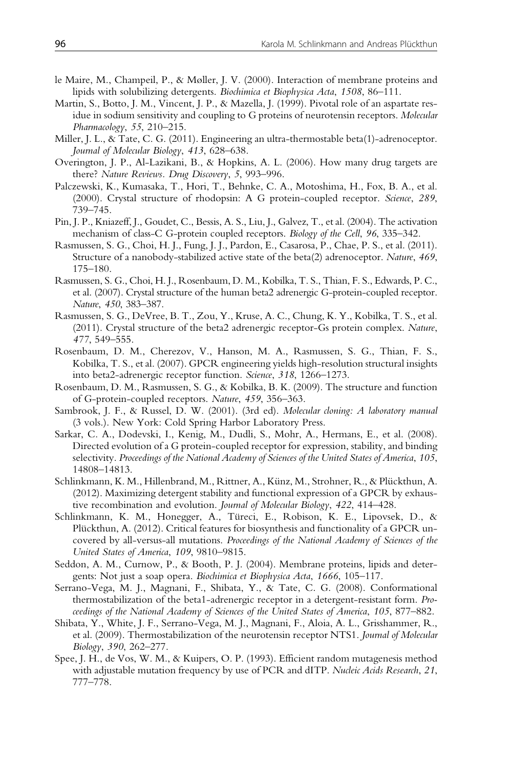- <span id="page-29-0"></span>le Maire, M., Champeil, P., & Møller, J. V. (2000). Interaction of membrane proteins and lipids with solubilizing detergents. Biochimica et Biophysica Acta, 1508, 86–111.
- Martin, S., Botto, J. M., Vincent, J. P., & Mazella, J. (1999). Pivotal role of an aspartate residue in sodium sensitivity and coupling to G proteins of neurotensin receptors. Molecular Pharmacology, 55, 210–215.
- Miller, J. L., & Tate, C. G. (2011). Engineering an ultra-thermostable beta(1)-adrenoceptor. Journal of Molecular Biology, 413, 628–638.
- Overington, J. P., Al-Lazikani, B., & Hopkins, A. L. (2006). How many drug targets are there? Nature Reviews. Drug Discovery, 5, 993–996.
- Palczewski, K., Kumasaka, T., Hori, T., Behnke, C. A., Motoshima, H., Fox, B. A., et al. (2000). Crystal structure of rhodopsin: A G protein-coupled receptor. Science, 289, 739–745.
- Pin, J. P., Kniazeff, J., Goudet, C., Bessis, A. S., Liu, J., Galvez, T., et al. (2004). The activation mechanism of class-C G-protein coupled receptors. Biology of the Cell, 96, 335–342.
- Rasmussen, S. G., Choi, H. J., Fung, J. J., Pardon, E., Casarosa, P., Chae, P. S., et al. (2011). Structure of a nanobody-stabilized active state of the beta(2) adrenoceptor. Nature, 469, 175–180.
- Rasmussen, S. G., Choi, H. J., Rosenbaum, D. M., Kobilka, T. S., Thian, F. S., Edwards, P. C., et al. (2007). Crystal structure of the human beta2 adrenergic G-protein-coupled receptor. Nature, 450, 383–387.
- Rasmussen, S. G., DeVree, B. T., Zou, Y., Kruse, A. C., Chung, K. Y., Kobilka, T. S., et al. (2011). Crystal structure of the beta2 adrenergic receptor-Gs protein complex. Nature, 477, 549–555.
- Rosenbaum, D. M., Cherezov, V., Hanson, M. A., Rasmussen, S. G., Thian, F. S., Kobilka, T. S., et al. (2007). GPCR engineering yields high-resolution structural insights into beta2-adrenergic receptor function. Science, 318, 1266–1273.
- Rosenbaum, D. M., Rasmussen, S. G., & Kobilka, B. K. (2009). The structure and function of G-protein-coupled receptors. Nature, 459, 356–363.
- Sambrook, J. F., & Russel, D. W. (2001). (3rd ed). Molecular cloning: A laboratory manual (3 vols.). New York: Cold Spring Harbor Laboratory Press.
- Sarkar, C. A., Dodevski, I., Kenig, M., Dudli, S., Mohr, A., Hermans, E., et al. (2008). Directed evolution of a G protein-coupled receptor for expression, stability, and binding selectivity. Proceedings of the National Academy of Sciences of the United States of America, 105, 14808–14813.
- Schlinkmann, K. M., Hillenbrand, M., Rittner, A., Künz, M., Strohner, R., & Plückthun, A. (2012). Maximizing detergent stability and functional expression of a GPCR by exhaustive recombination and evolution. Journal of Molecular Biology, 422, 414–428.
- Schlinkmann, K. M., Honegger, A., Türeci, E., Robison, K. E., Lipovsek, D., & Plückthun, A. (2012). Critical features for biosynthesis and functionality of a GPCR uncovered by all-versus-all mutations. Proceedings of the National Academy of Sciences of the United States of America, 109, 9810–9815.
- Seddon, A. M., Curnow, P., & Booth, P. J. (2004). Membrane proteins, lipids and detergents: Not just a soap opera. Biochimica et Biophysica Acta, 1666, 105–117.
- Serrano-Vega, M. J., Magnani, F., Shibata, Y., & Tate, C. G. (2008). Conformational thermostabilization of the beta1-adrenergic receptor in a detergent-resistant form. Proceedings of the National Academy of Sciences of the United States of America, 105, 877–882.
- Shibata, Y., White, J. F., Serrano-Vega, M. J., Magnani, F., Aloia, A. L., Grisshammer, R., et al. (2009). Thermostabilization of the neurotensin receptor NTS1. Journal of Molecular Biology, 390, 262–277.
- Spee, J. H., de Vos, W. M., & Kuipers, O. P. (1993). Efficient random mutagenesis method with adjustable mutation frequency by use of PCR and dITP. Nucleic Acids Research, 21, 777–778.